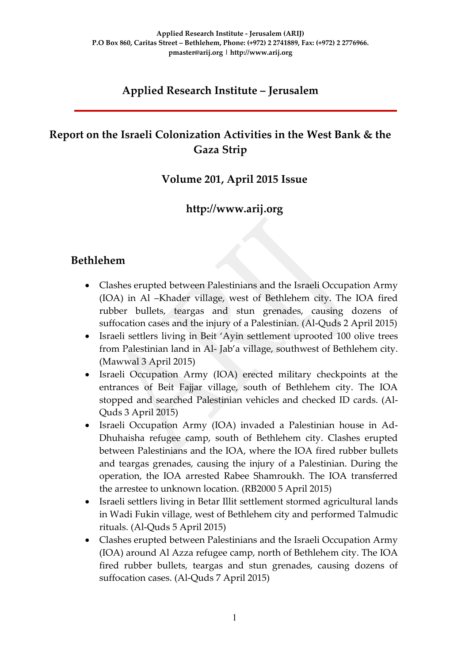### **Applied Research Institute – Jerusalem**

### **Report on the Israeli Colonization Activities in the West Bank & the Gaza Strip**

#### **Volume 201, April 2015 Issue**

#### **http://www.arij.org**

#### **Bethlehem**

- Clashes erupted between Palestinians and the Israeli Occupation Army (IOA) in Al –Khader village, west of Bethlehem city. The IOA fired rubber bullets, teargas and stun grenades, causing dozens of suffocation cases and the injury of a Palestinian. (Al-Quds 2 April 2015)
- Israeli settlers living in Beit 'Ayin settlement uprooted 100 olive trees from Palestinian land in Al- Jab'a village, southwest of Bethlehem city. (Mawwal 3 April 2015)
- Israeli Occupation Army (IOA) erected military checkpoints at the entrances of Beit Fajjar village, south of Bethlehem city. The IOA stopped and searched Palestinian vehicles and checked ID cards. (Al-Quds 3 April 2015)
- Israeli Occupation Army (IOA) invaded a Palestinian house in Ad-Dhuhaisha refugee camp, south of Bethlehem city. Clashes erupted between Palestinians and the IOA, where the IOA fired rubber bullets and teargas grenades, causing the injury of a Palestinian. During the operation, the IOA arrested Rabee Shamroukh. The IOA transferred the arrestee to unknown location. (RB2000 5 April 2015)
- Israeli settlers living in Betar Illit settlement stormed agricultural lands in Wadi Fukin village, west of Bethlehem city and performed Talmudic rituals. (Al-Quds 5 April 2015)
- Clashes erupted between Palestinians and the Israeli Occupation Army (IOA) around Al Azza refugee camp, north of Bethlehem city. The IOA fired rubber bullets, teargas and stun grenades, causing dozens of suffocation cases. (Al-Quds 7 April 2015)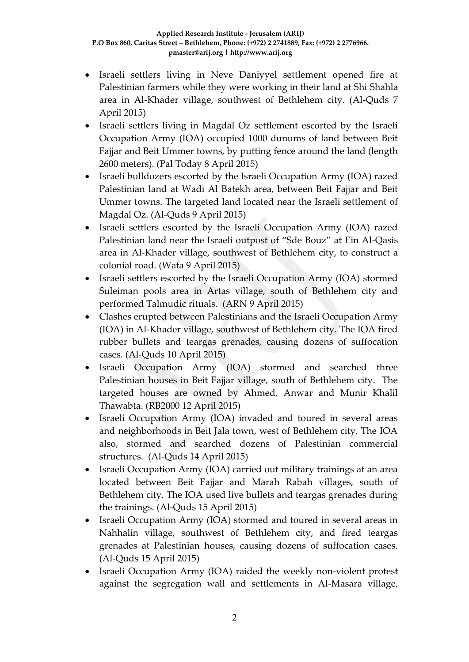- Israeli settlers living in Neve Daniyyel settlement opened fire at Palestinian farmers while they were working in their land at Shi Shahla area in Al-Khader village, southwest of Bethlehem city. (Al-Quds 7 April 2015)
- Israeli settlers living in Magdal Oz settlement escorted by the Israeli Occupation Army (IOA) occupied 1000 dunums of land between Beit Fajjar and Beit Ummer towns, by putting fence around the land (length 2600 meters). (Pal Today 8 April 2015)
- Israeli bulldozers escorted by the Israeli Occupation Army (IOA) razed Palestinian land at Wadi Al Batekh area, between Beit Fajjar and Beit Ummer towns. The targeted land located near the Israeli settlement of Magdal Oz. (Al-Quds 9 April 2015)
- Israeli settlers escorted by the Israeli Occupation Army (IOA) razed Palestinian land near the Israeli outpost of "Sde Bouz" at Ein Al-Qasis area in Al-Khader village, southwest of Bethlehem city, to construct a colonial road. (Wafa 9 April 2015)
- Israeli settlers escorted by the Israeli Occupation Army (IOA) stormed Suleiman pools area in Artas village, south of Bethlehem city and performed Talmudic rituals. (ARN 9 April 2015)
- Clashes erupted between Palestinians and the Israeli Occupation Army (IOA) in Al-Khader village, southwest of Bethlehem city. The IOA fired rubber bullets and teargas grenades, causing dozens of suffocation cases. (Al-Quds 10 April 2015)
- Israeli Occupation Army (IOA) stormed and searched three Palestinian houses in Beit Fajjar village, south of Bethlehem city. The targeted houses are owned by Ahmed, Anwar and Munir Khalil Thawabta. (RB2000 12 April 2015)
- Israeli Occupation Army (IOA) invaded and toured in several areas and neighborhoods in Beit Jala town, west of Bethlehem city. The IOA also, stormed and searched dozens of Palestinian commercial structures. (Al-Quds 14 April 2015)
- Israeli Occupation Army (IOA) carried out military trainings at an area located between Beit Fajjar and Marah Rabah villages, south of Bethlehem city. The IOA used live bullets and teargas grenades during the trainings. (Al-Quds 15 April 2015)
- Israeli Occupation Army (IOA) stormed and toured in several areas in Nahhalin village, southwest of Bethlehem city, and fired teargas grenades at Palestinian houses, causing dozens of suffocation cases. (Al-Quds 15 April 2015)
- Israeli Occupation Army (IOA) raided the weekly non-violent protest against the segregation wall and settlements in Al-Masara village,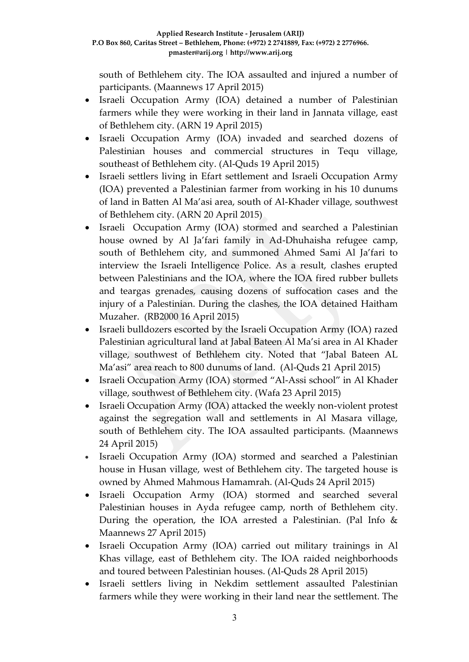south of Bethlehem city. The IOA assaulted and injured a number of participants. (Maannews 17 April 2015)

- Israeli Occupation Army (IOA) detained a number of Palestinian farmers while they were working in their land in Jannata village, east of Bethlehem city. (ARN 19 April 2015)
- Israeli Occupation Army (IOA) invaded and searched dozens of Palestinian houses and commercial structures in Tequ village, southeast of Bethlehem city. (Al-Quds 19 April 2015)
- Israeli settlers living in Efart settlement and Israeli Occupation Army (IOA) prevented a Palestinian farmer from working in his 10 dunums of land in Batten Al Ma'asi area, south of Al-Khader village, southwest of Bethlehem city. (ARN 20 April 2015)
- Israeli Occupation Army (IOA) stormed and searched a Palestinian house owned by Al Ja'fari family in Ad-Dhuhaisha refugee camp, south of Bethlehem city, and summoned Ahmed Sami Al Ja'fari to interview the Israeli Intelligence Police. As a result, clashes erupted between Palestinians and the IOA, where the IOA fired rubber bullets and teargas grenades, causing dozens of suffocation cases and the injury of a Palestinian. During the clashes, the IOA detained Haitham Muzaher. (RB2000 16 April 2015)
- Israeli bulldozers escorted by the Israeli Occupation Army (IOA) razed Palestinian agricultural land at Jabal Bateen Al Ma'si area in Al Khader village, southwest of Bethlehem city. Noted that "Jabal Bateen AL Ma'asi" area reach to 800 dunums of land. (Al-Quds 21 April 2015)
- Israeli Occupation Army (IOA) stormed "Al-Assi school" in Al Khader village, southwest of Bethlehem city. (Wafa 23 April 2015)
- Israeli Occupation Army (IOA) attacked the weekly non-violent protest against the segregation wall and settlements in Al Masara village, south of Bethlehem city. The IOA assaulted participants. (Maannews 24 April 2015)
- Israeli Occupation Army (IOA) stormed and searched a Palestinian house in Husan village, west of Bethlehem city. The targeted house is owned by Ahmed Mahmous Hamamrah. (Al-Quds 24 April 2015)
- Israeli Occupation Army (IOA) stormed and searched several Palestinian houses in Ayda refugee camp, north of Bethlehem city. During the operation, the IOA arrested a Palestinian. (Pal Info & Maannews 27 April 2015)
- Israeli Occupation Army (IOA) carried out military trainings in Al Khas village, east of Bethlehem city. The IOA raided neighborhoods and toured between Palestinian houses. (Al-Quds 28 April 2015)
- Israeli settlers living in Nekdim settlement assaulted Palestinian farmers while they were working in their land near the settlement. The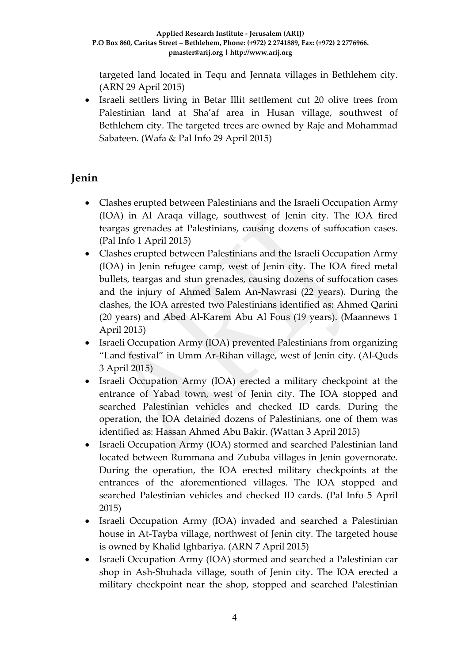targeted land located in Tequ and Jennata villages in Bethlehem city. (ARN 29 April 2015)

 Israeli settlers living in Betar Illit settlement cut 20 olive trees from Palestinian land at Sha'af area in Husan village, southwest of Bethlehem city. The targeted trees are owned by Raje and Mohammad Sabateen. (Wafa & Pal Info 29 April 2015)

### **Jenin**

- Clashes erupted between Palestinians and the Israeli Occupation Army (IOA) in Al Araqa village, southwest of Jenin city. The IOA fired teargas grenades at Palestinians, causing dozens of suffocation cases. (Pal Info 1 April 2015)
- Clashes erupted between Palestinians and the Israeli Occupation Army (IOA) in Jenin refugee camp, west of Jenin city. The IOA fired metal bullets, teargas and stun grenades, causing dozens of suffocation cases and the injury of Ahmed Salem An-Nawrasi (22 years). During the clashes, the IOA arrested two Palestinians identified as: Ahmed Qarini (20 years) and Abed Al-Karem Abu Al Fous (19 years). (Maannews 1 April 2015)
- Israeli Occupation Army (IOA) prevented Palestinians from organizing "Land festival" in Umm Ar-Rihan village, west of Jenin city. (Al-Quds 3 April 2015)
- Israeli Occupation Army (IOA) erected a military checkpoint at the entrance of Yabad town, west of Jenin city. The IOA stopped and searched Palestinian vehicles and checked ID cards. During the operation, the IOA detained dozens of Palestinians, one of them was identified as: Hassan Ahmed Abu Bakir. (Wattan 3 April 2015)
- Israeli Occupation Army (IOA) stormed and searched Palestinian land located between Rummana and Zububa villages in Jenin governorate. During the operation, the IOA erected military checkpoints at the entrances of the aforementioned villages. The IOA stopped and searched Palestinian vehicles and checked ID cards. (Pal Info 5 April 2015)
- Israeli Occupation Army (IOA) invaded and searched a Palestinian house in At-Tayba village, northwest of Jenin city. The targeted house is owned by Khalid Ighbariya. (ARN 7 April 2015)
- Israeli Occupation Army (IOA) stormed and searched a Palestinian car shop in Ash-Shuhada village, south of Jenin city. The IOA erected a military checkpoint near the shop, stopped and searched Palestinian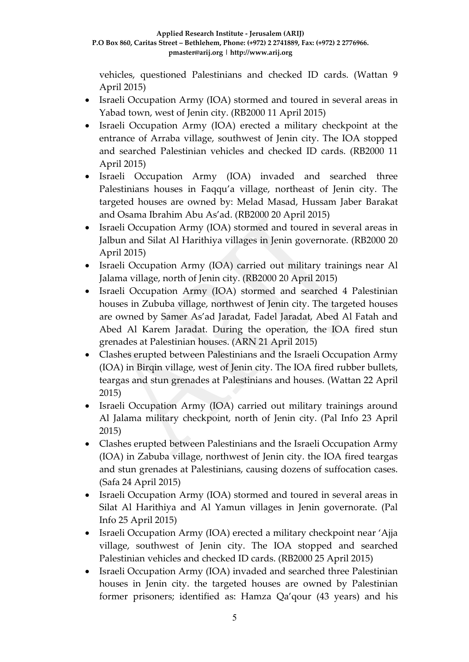vehicles, questioned Palestinians and checked ID cards. (Wattan 9 April 2015)

- Israeli Occupation Army (IOA) stormed and toured in several areas in Yabad town, west of Jenin city. (RB2000 11 April 2015)
- Israeli Occupation Army (IOA) erected a military checkpoint at the entrance of Arraba village, southwest of Jenin city. The IOA stopped and searched Palestinian vehicles and checked ID cards. (RB2000 11 April 2015)
- Israeli Occupation Army (IOA) invaded and searched three Palestinians houses in Faqqu'a village, northeast of Jenin city. The targeted houses are owned by: Melad Masad, Hussam Jaber Barakat and Osama Ibrahim Abu As'ad. (RB2000 20 April 2015)
- Israeli Occupation Army (IOA) stormed and toured in several areas in Jalbun and Silat Al Harithiya villages in Jenin governorate. (RB2000 20 April 2015)
- Israeli Occupation Army (IOA) carried out military trainings near Al Jalama village, north of Jenin city. (RB2000 20 April 2015)
- Israeli Occupation Army (IOA) stormed and searched 4 Palestinian houses in Zububa village, northwest of Jenin city. The targeted houses are owned by Samer As'ad Jaradat, Fadel Jaradat, Abed Al Fatah and Abed Al Karem Jaradat. During the operation, the IOA fired stun grenades at Palestinian houses. (ARN 21 April 2015)
- Clashes erupted between Palestinians and the Israeli Occupation Army (IOA) in Birqin village, west of Jenin city. The IOA fired rubber bullets, teargas and stun grenades at Palestinians and houses. (Wattan 22 April 2015)
- Israeli Occupation Army (IOA) carried out military trainings around Al Jalama military checkpoint, north of Jenin city. (Pal Info 23 April 2015)
- Clashes erupted between Palestinians and the Israeli Occupation Army (IOA) in Zabuba village, northwest of Jenin city. the IOA fired teargas and stun grenades at Palestinians, causing dozens of suffocation cases. (Safa 24 April 2015)
- Israeli Occupation Army (IOA) stormed and toured in several areas in Silat Al Harithiya and Al Yamun villages in Jenin governorate. (Pal Info 25 April 2015)
- Israeli Occupation Army (IOA) erected a military checkpoint near 'Ajja village, southwest of Jenin city. The IOA stopped and searched Palestinian vehicles and checked ID cards. (RB2000 25 April 2015)
- Israeli Occupation Army (IOA) invaded and searched three Palestinian houses in Jenin city. the targeted houses are owned by Palestinian former prisoners; identified as: Hamza Qa'qour (43 years) and his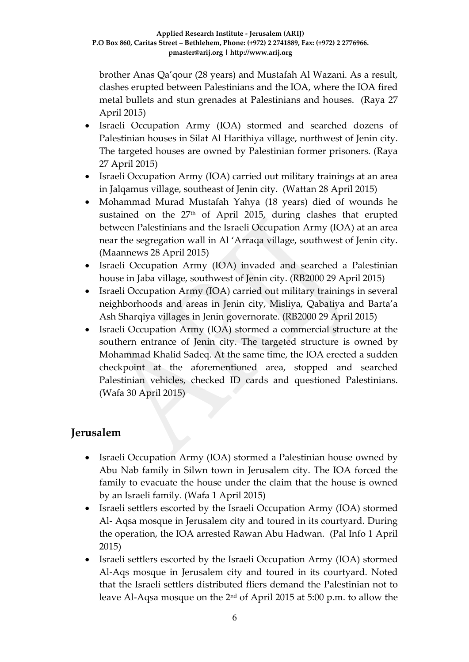brother Anas Qa'qour (28 years) and Mustafah Al Wazani. As a result, clashes erupted between Palestinians and the IOA, where the IOA fired metal bullets and stun grenades at Palestinians and houses. (Raya 27 April 2015)

- Israeli Occupation Army (IOA) stormed and searched dozens of Palestinian houses in Silat Al Harithiya village, northwest of Jenin city. The targeted houses are owned by Palestinian former prisoners. (Raya 27 April 2015)
- Israeli Occupation Army (IOA) carried out military trainings at an area in Jalqamus village, southeast of Jenin city. (Wattan 28 April 2015)
- Mohammad Murad Mustafah Yahya (18 years) died of wounds he sustained on the 27<sup>th</sup> of April 2015, during clashes that erupted between Palestinians and the Israeli Occupation Army (IOA) at an area near the segregation wall in Al 'Arraqa village, southwest of Jenin city. (Maannews 28 April 2015)
- Israeli Occupation Army (IOA) invaded and searched a Palestinian house in Jaba village, southwest of Jenin city. (RB2000 29 April 2015)
- Israeli Occupation Army (IOA) carried out military trainings in several neighborhoods and areas in Jenin city, Misliya, Qabatiya and Barta'a Ash Sharqiya villages in Jenin governorate. (RB2000 29 April 2015)
- Israeli Occupation Army (IOA) stormed a commercial structure at the southern entrance of Jenin city. The targeted structure is owned by Mohammad Khalid Sadeq. At the same time, the IOA erected a sudden checkpoint at the aforementioned area, stopped and searched Palestinian vehicles, checked ID cards and questioned Palestinians. (Wafa 30 April 2015)

## **Jerusalem**

- Israeli Occupation Army (IOA) stormed a Palestinian house owned by Abu Nab family in Silwn town in Jerusalem city. The IOA forced the family to evacuate the house under the claim that the house is owned by an Israeli family. (Wafa 1 April 2015)
- Israeli settlers escorted by the Israeli Occupation Army (IOA) stormed Al- Aqsa mosque in Jerusalem city and toured in its courtyard. During the operation, the IOA arrested Rawan Abu Hadwan. (Pal Info 1 April 2015)
- Israeli settlers escorted by the Israeli Occupation Army (IOA) stormed Al-Aqs mosque in Jerusalem city and toured in its courtyard. Noted that the Israeli settlers distributed fliers demand the Palestinian not to leave Al-Aqsa mosque on the 2nd of April 2015 at 5:00 p.m. to allow the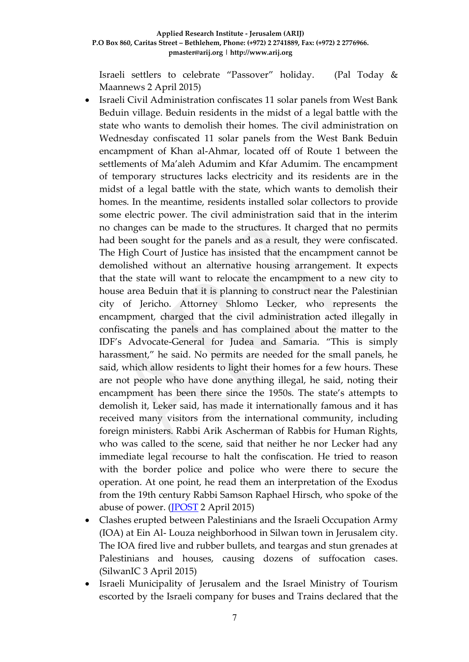Israeli settlers to celebrate "Passover" holiday. (Pal Today & Maannews 2 April 2015)

- Israeli Civil Administration confiscates 11 solar panels from West Bank Beduin village. Beduin residents in the midst of a legal battle with the state who wants to demolish their homes. The civil administration on Wednesday confiscated 11 solar panels from the West Bank Beduin encampment of Khan al-Ahmar, located off of Route 1 between the settlements of Ma'aleh Adumim and Kfar Adumim. The encampment of temporary structures lacks electricity and its residents are in the midst of a legal battle with the state, which wants to demolish their homes. In the meantime, residents installed solar collectors to provide some electric power. The civil administration said that in the interim no changes can be made to the structures. It charged that no permits had been sought for the panels and as a result, they were confiscated. The High Court of Justice has insisted that the encampment cannot be demolished without an alternative housing arrangement. It expects that the state will want to relocate the encampment to a new city to house area Beduin that it is planning to construct near the Palestinian city of Jericho. Attorney Shlomo Lecker, who represents the encampment, charged that the civil administration acted illegally in confiscating the panels and has complained about the matter to the IDF's Advocate-General for Judea and Samaria. "This is simply harassment," he said. No permits are needed for the small panels, he said, which allow residents to light their homes for a few hours. These are not people who have done anything illegal, he said, noting their encampment has been there since the 1950s. The state's attempts to demolish it, Leker said, has made it internationally famous and it has received many visitors from the international community, including foreign ministers. Rabbi Arik Ascherman of Rabbis for Human Rights, who was called to the scene, said that neither he nor Lecker had any immediate legal recourse to halt the confiscation. He tried to reason with the border police and police who were there to secure the operation. At one point, he read them an interpretation of the Exodus from the 19th century Rabbi Samson Raphael Hirsch, who spoke of the abuse of power. [\(JPOST](http://www.jpost.com/Israel-News/Civil-Administration-confiscates-11-solar-panels-from-West-Bank-Beduin-village-395890) 2 April 2015)
- Clashes erupted between Palestinians and the Israeli Occupation Army (IOA) at Ein Al- Louza neighborhood in Silwan town in Jerusalem city. The IOA fired live and rubber bullets, and teargas and stun grenades at Palestinians and houses, causing dozens of suffocation cases. (SilwanIC 3 April 2015)
- Israeli Municipality of Jerusalem and the Israel Ministry of Tourism escorted by the Israeli company for buses and Trains declared that the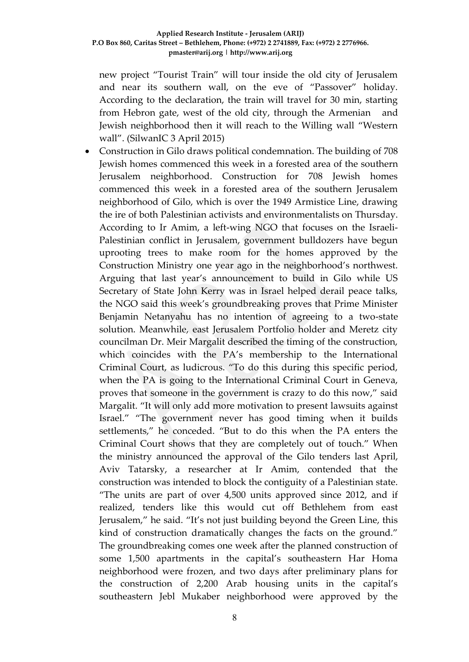new project "Tourist Train" will tour inside the old city of Jerusalem and near its southern wall, on the eve of "Passover" holiday. According to the declaration, the train will travel for 30 min, starting from Hebron gate, west of the old city, through the Armenian and Jewish neighborhood then it will reach to the Willing wall "Western wall". (SilwanIC 3 April 2015)

 Construction in Gilo draws political condemnation. The building of 708 Jewish homes commenced this week in a forested area of the southern Jerusalem neighborhood. Construction for 708 Jewish homes commenced this week in a forested area of the southern Jerusalem neighborhood of Gilo, which is over the 1949 Armistice Line, drawing the ire of both Palestinian activists and environmentalists on Thursday. According to Ir Amim, a left-wing NGO that focuses on the Israeli-Palestinian conflict in Jerusalem, government bulldozers have begun uprooting trees to make room for the homes approved by the Construction Ministry one year ago in the neighborhood's northwest. Arguing that last year's announcement to build in Gilo while US Secretary of State John Kerry was in Israel helped derail peace talks, the NGO said this week's groundbreaking proves that Prime Minister Benjamin Netanyahu has no intention of agreeing to a two-state solution. Meanwhile, east Jerusalem Portfolio holder and Meretz city councilman Dr. Meir Margalit described the timing of the construction, which coincides with the PA's membership to the International Criminal Court, as ludicrous. "To do this during this specific period, when the PA is going to the International Criminal Court in Geneva, proves that someone in the government is crazy to do this now," said Margalit. "It will only add more motivation to present lawsuits against Israel." "The government never has good timing when it builds settlements," he conceded. "But to do this when the PA enters the Criminal Court shows that they are completely out of touch." When the ministry announced the approval of the Gilo tenders last April, Aviv Tatarsky, a researcher at Ir Amim, contended that the construction was intended to block the contiguity of a Palestinian state. "The units are part of over 4,500 units approved since 2012, and if realized, tenders like this would cut off Bethlehem from east Jerusalem," he said. "It's not just building beyond the Green Line, this kind of construction dramatically changes the facts on the ground." The groundbreaking comes one week after the planned construction of some 1,500 apartments in the capital's southeastern Har Homa neighborhood were frozen, and two days after preliminary plans for the construction of 2,200 Arab housing units in the capital's southeastern Jebl Mukaber neighborhood were approved by the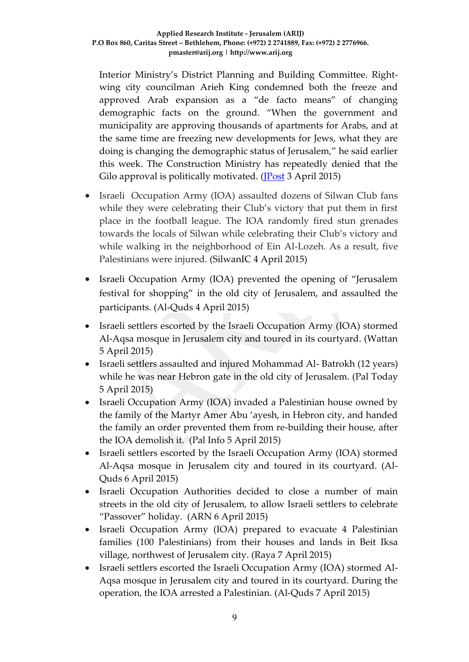Interior Ministry's District Planning and Building Committee. Rightwing city councilman Arieh King condemned both the freeze and approved Arab expansion as a "de facto means" of changing demographic facts on the ground. "When the government and municipality are approving thousands of apartments for Arabs, and at the same time are freezing new developments for Jews, what they are doing is changing the demographic status of Jerusalem," he said earlier this week. The Construction Ministry has repeatedly denied that the Gilo approval is politically motivated. (*JPost* 3 April 2015)

- Israeli Occupation Army (IOA) assaulted dozens of Silwan Club fans while they were celebrating their Club's victory that put them in first place in the football league. The IOA randomly fired stun grenades towards the locals of Silwan while celebrating their Club's victory and while walking in the neighborhood of Ein Al-Lozeh. As a result, five Palestinians were injured. (SilwanIC 4 April 2015)
- Israeli Occupation Army (IOA) prevented the opening of "Jerusalem festival for shopping" in the old city of Jerusalem, and assaulted the participants. (Al-Quds 4 April 2015)
- Israeli settlers escorted by the Israeli Occupation Army (IOA) stormed Al-Aqsa mosque in Jerusalem city and toured in its courtyard. (Wattan 5 April 2015)
- Israeli settlers assaulted and injured Mohammad Al- Batrokh (12 years) while he was near Hebron gate in the old city of Jerusalem. (Pal Today 5 April 2015)
- Israeli Occupation Army (IOA) invaded a Palestinian house owned by the family of the Martyr Amer Abu 'ayesh, in Hebron city, and handed the family an order prevented them from re-building their house, after the IOA demolish it. (Pal Info 5 April 2015)
- Israeli settlers escorted by the Israeli Occupation Army (IOA) stormed Al-Aqsa mosque in Jerusalem city and toured in its courtyard. (Al-Quds 6 April 2015)
- Israeli Occupation Authorities decided to close a number of main streets in the old city of Jerusalem, to allow Israeli settlers to celebrate "Passover" holiday. (ARN 6 April 2015)
- Israeli Occupation Army (IOA) prepared to evacuate 4 Palestinian families (100 Palestinians) from their houses and lands in Beit Iksa village, northwest of Jerusalem city. (Raya 7 April 2015)
- Israeli settlers escorted the Israeli Occupation Army (IOA) stormed Al-Aqsa mosque in Jerusalem city and toured in its courtyard. During the operation, the IOA arrested a Palestinian. (Al-Quds 7 April 2015)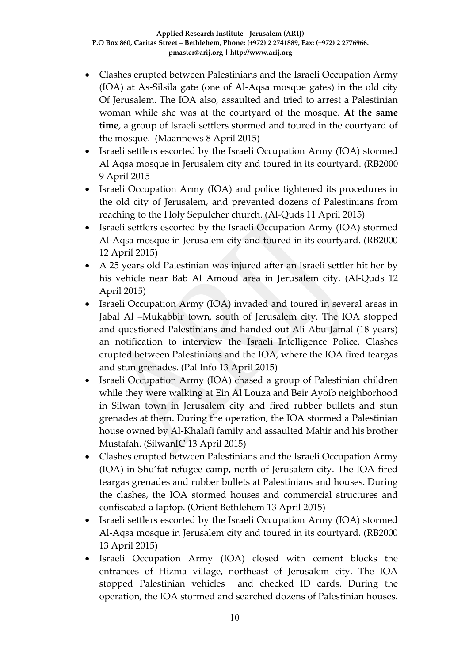- Clashes erupted between Palestinians and the Israeli Occupation Army (IOA) at As-Silsila gate (one of Al-Aqsa mosque gates) in the old city Of Jerusalem. The IOA also, assaulted and tried to arrest a Palestinian woman while she was at the courtyard of the mosque. **At the same time**, a group of Israeli settlers stormed and toured in the courtyard of the mosque. (Maannews 8 April 2015)
- Israeli settlers escorted by the Israeli Occupation Army (IOA) stormed Al Aqsa mosque in Jerusalem city and toured in its courtyard. (RB2000 9 April 2015
- Israeli Occupation Army (IOA) and police tightened its procedures in the old city of Jerusalem, and prevented dozens of Palestinians from reaching to the Holy Sepulcher church. (Al-Quds 11 April 2015)
- Israeli settlers escorted by the Israeli Occupation Army (IOA) stormed Al-Aqsa mosque in Jerusalem city and toured in its courtyard. (RB2000 12 April 2015)
- A 25 years old Palestinian was injured after an Israeli settler hit her by his vehicle near Bab Al Amoud area in Jerusalem city. (Al-Quds 12 April 2015)
- Israeli Occupation Army (IOA) invaded and toured in several areas in Jabal Al –Mukabbir town, south of Jerusalem city. The IOA stopped and questioned Palestinians and handed out Ali Abu Jamal (18 years) an notification to interview the Israeli Intelligence Police. Clashes erupted between Palestinians and the IOA, where the IOA fired teargas and stun grenades. (Pal Info 13 April 2015)
- Israeli Occupation Army (IOA) chased a group of Palestinian children while they were walking at Ein Al Louza and Beir Ayoib neighborhood in Silwan town in Jerusalem city and fired rubber bullets and stun grenades at them. During the operation, the IOA stormed a Palestinian house owned by Al-Khalafi family and assaulted Mahir and his brother Mustafah. (SilwanIC 13 April 2015)
- Clashes erupted between Palestinians and the Israeli Occupation Army (IOA) in Shu'fat refugee camp, north of Jerusalem city. The IOA fired teargas grenades and rubber bullets at Palestinians and houses. During the clashes, the IOA stormed houses and commercial structures and confiscated a laptop. (Orient Bethlehem 13 April 2015)
- Israeli settlers escorted by the Israeli Occupation Army (IOA) stormed Al-Aqsa mosque in Jerusalem city and toured in its courtyard. (RB2000 13 April 2015)
- Israeli Occupation Army (IOA) closed with cement blocks the entrances of Hizma village, northeast of Jerusalem city. The IOA stopped Palestinian vehicles and checked ID cards. During the operation, the IOA stormed and searched dozens of Palestinian houses.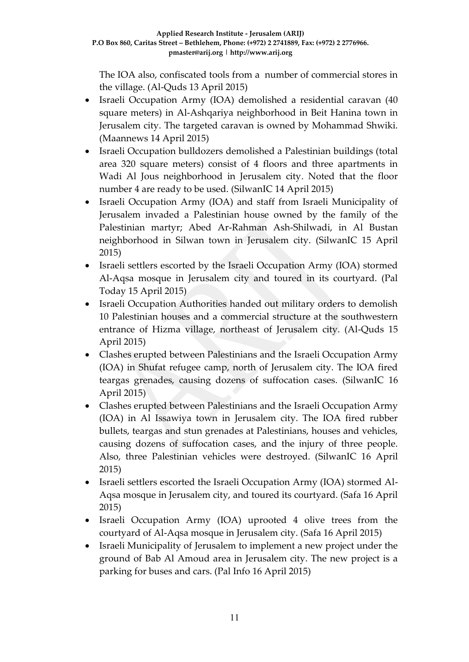The IOA also, confiscated tools from a number of commercial stores in the village. (Al-Quds 13 April 2015)

- Israeli Occupation Army (IOA) demolished a residential caravan (40 square meters) in Al-Ashqariya neighborhood in Beit Hanina town in Jerusalem city. The targeted caravan is owned by Mohammad Shwiki. (Maannews 14 April 2015)
- Israeli Occupation bulldozers demolished a Palestinian buildings (total area 320 square meters) consist of 4 floors and three apartments in Wadi Al Jous neighborhood in Jerusalem city. Noted that the floor number 4 are ready to be used. (SilwanIC 14 April 2015)
- Israeli Occupation Army (IOA) and staff from Israeli Municipality of Jerusalem invaded a Palestinian house owned by the family of the Palestinian martyr; Abed Ar-Rahman Ash-Shilwadi, in Al Bustan neighborhood in Silwan town in Jerusalem city. (SilwanIC 15 April 2015)
- Israeli settlers escorted by the Israeli Occupation Army (IOA) stormed Al-Aqsa mosque in Jerusalem city and toured in its courtyard. (Pal Today 15 April 2015)
- Israeli Occupation Authorities handed out military orders to demolish 10 Palestinian houses and a commercial structure at the southwestern entrance of Hizma village, northeast of Jerusalem city. (Al-Quds 15 April 2015)
- Clashes erupted between Palestinians and the Israeli Occupation Army (IOA) in Shufat refugee camp, north of Jerusalem city. The IOA fired teargas grenades, causing dozens of suffocation cases. (SilwanIC 16 April 2015)
- Clashes erupted between Palestinians and the Israeli Occupation Army (IOA) in Al Issawiya town in Jerusalem city. The IOA fired rubber bullets, teargas and stun grenades at Palestinians, houses and vehicles, causing dozens of suffocation cases, and the injury of three people. Also, three Palestinian vehicles were destroyed. (SilwanIC 16 April 2015)
- Israeli settlers escorted the Israeli Occupation Army (IOA) stormed Al-Aqsa mosque in Jerusalem city, and toured its courtyard. (Safa 16 April 2015)
- Israeli Occupation Army (IOA) uprooted 4 olive trees from the courtyard of Al-Aqsa mosque in Jerusalem city. (Safa 16 April 2015)
- Israeli Municipality of Jerusalem to implement a new project under the ground of Bab Al Amoud area in Jerusalem city. The new project is a parking for buses and cars. (Pal Info 16 April 2015)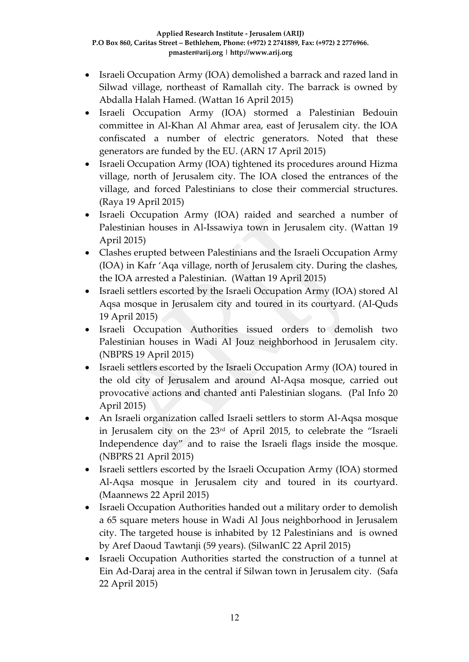- Israeli Occupation Army (IOA) demolished a barrack and razed land in Silwad village, northeast of Ramallah city. The barrack is owned by Abdalla Halah Hamed. (Wattan 16 April 2015)
- Israeli Occupation Army (IOA) stormed a Palestinian Bedouin committee in Al-Khan Al Ahmar area, east of Jerusalem city. the IOA confiscated a number of electric generators. Noted that these generators are funded by the EU. (ARN 17 April 2015)
- Israeli Occupation Army (IOA) tightened its procedures around Hizma village, north of Jerusalem city. The IOA closed the entrances of the village, and forced Palestinians to close their commercial structures. (Raya 19 April 2015)
- Israeli Occupation Army (IOA) raided and searched a number of Palestinian houses in Al-Issawiya town in Jerusalem city. (Wattan 19 April 2015)
- Clashes erupted between Palestinians and the Israeli Occupation Army (IOA) in Kafr 'Aqa village, north of Jerusalem city. During the clashes, the IOA arrested a Palestinian. (Wattan 19 April 2015)
- Israeli settlers escorted by the Israeli Occupation Army (IOA) stored Al Aqsa mosque in Jerusalem city and toured in its courtyard. (Al-Quds 19 April 2015)
- Israeli Occupation Authorities issued orders to demolish two Palestinian houses in Wadi Al Jouz neighborhood in Jerusalem city. (NBPRS 19 April 2015)
- Israeli settlers escorted by the Israeli Occupation Army (IOA) toured in the old city of Jerusalem and around Al-Aqsa mosque, carried out provocative actions and chanted anti Palestinian slogans. (Pal Info 20 April 2015)
- An Israeli organization called Israeli settlers to storm Al-Aqsa mosque in Jerusalem city on the 23rd of April 2015, to celebrate the "Israeli Independence day" and to raise the Israeli flags inside the mosque. (NBPRS 21 April 2015)
- Israeli settlers escorted by the Israeli Occupation Army (IOA) stormed Al-Aqsa mosque in Jerusalem city and toured in its courtyard. (Maannews 22 April 2015)
- Israeli Occupation Authorities handed out a military order to demolish a 65 square meters house in Wadi Al Jous neighborhood in Jerusalem city. The targeted house is inhabited by 12 Palestinians and is owned by Aref Daoud Tawtanji (59 years). (SilwanIC 22 April 2015)
- Israeli Occupation Authorities started the construction of a tunnel at Ein Ad-Daraj area in the central if Silwan town in Jerusalem city. (Safa 22 April 2015)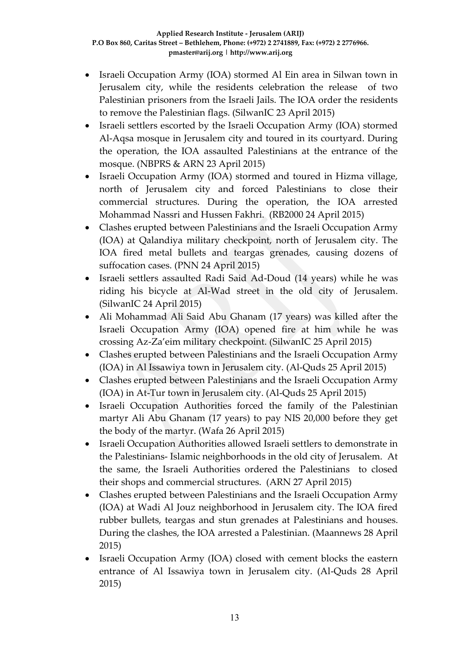- Israeli Occupation Army (IOA) stormed Al Ein area in Silwan town in Jerusalem city, while the residents celebration the release of two Palestinian prisoners from the Israeli Jails. The IOA order the residents to remove the Palestinian flags. (SilwanIC 23 April 2015)
- Israeli settlers escorted by the Israeli Occupation Army (IOA) stormed Al-Aqsa mosque in Jerusalem city and toured in its courtyard. During the operation, the IOA assaulted Palestinians at the entrance of the mosque. (NBPRS & ARN 23 April 2015)
- Israeli Occupation Army (IOA) stormed and toured in Hizma village, north of Jerusalem city and forced Palestinians to close their commercial structures. During the operation, the IOA arrested Mohammad Nassri and Hussen Fakhri. (RB2000 24 April 2015)
- Clashes erupted between Palestinians and the Israeli Occupation Army (IOA) at Qalandiya military checkpoint, north of Jerusalem city. The IOA fired metal bullets and teargas grenades, causing dozens of suffocation cases. (PNN 24 April 2015)
- Israeli settlers assaulted Radi Said Ad-Doud (14 years) while he was riding his bicycle at Al-Wad street in the old city of Jerusalem. (SilwanIC 24 April 2015)
- Ali Mohammad Ali Said Abu Ghanam (17 years) was killed after the Israeli Occupation Army (IOA) opened fire at him while he was crossing Az-Za'eim military checkpoint. (SilwanIC 25 April 2015)
- Clashes erupted between Palestinians and the Israeli Occupation Army (IOA) in Al Issawiya town in Jerusalem city. (Al-Quds 25 April 2015)
- Clashes erupted between Palestinians and the Israeli Occupation Army (IOA) in At-Tur town in Jerusalem city. (Al-Quds 25 April 2015)
- Israeli Occupation Authorities forced the family of the Palestinian martyr Ali Abu Ghanam (17 years) to pay NIS 20,000 before they get the body of the martyr. (Wafa 26 April 2015)
- Israeli Occupation Authorities allowed Israeli settlers to demonstrate in the Palestinians- Islamic neighborhoods in the old city of Jerusalem. At the same, the Israeli Authorities ordered the Palestinians to closed their shops and commercial structures. (ARN 27 April 2015)
- Clashes erupted between Palestinians and the Israeli Occupation Army (IOA) at Wadi Al Jouz neighborhood in Jerusalem city. The IOA fired rubber bullets, teargas and stun grenades at Palestinians and houses. During the clashes, the IOA arrested a Palestinian. (Maannews 28 April 2015)
- Israeli Occupation Army (IOA) closed with cement blocks the eastern entrance of Al Issawiya town in Jerusalem city. (Al-Quds 28 April 2015)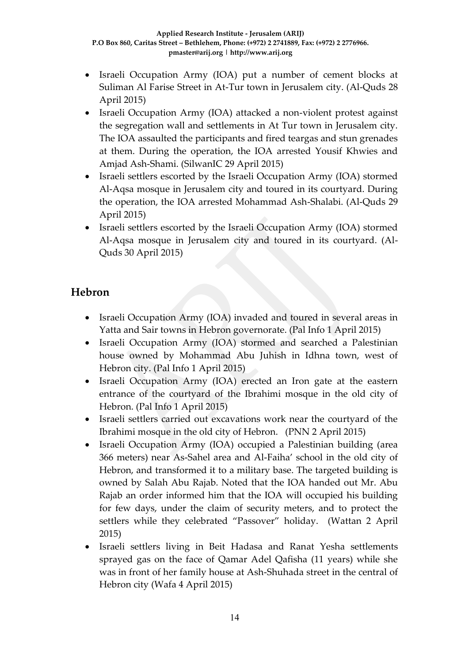- Israeli Occupation Army (IOA) put a number of cement blocks at Suliman Al Farise Street in At-Tur town in Jerusalem city. (Al-Quds 28 April 2015)
- Israeli Occupation Army (IOA) attacked a non-violent protest against the segregation wall and settlements in At Tur town in Jerusalem city. The IOA assaulted the participants and fired teargas and stun grenades at them. During the operation, the IOA arrested Yousif Khwies and Amjad Ash-Shami. (SilwanIC 29 April 2015)
- Israeli settlers escorted by the Israeli Occupation Army (IOA) stormed Al-Aqsa mosque in Jerusalem city and toured in its courtyard. During the operation, the IOA arrested Mohammad Ash-Shalabi. (Al-Quds 29 April 2015)
- Israeli settlers escorted by the Israeli Occupation Army (IOA) stormed Al-Aqsa mosque in Jerusalem city and toured in its courtyard. (Al-Quds 30 April 2015)

#### **Hebron**

- Israeli Occupation Army (IOA) invaded and toured in several areas in Yatta and Sair towns in Hebron governorate. (Pal Info 1 April 2015)
- Israeli Occupation Army (IOA) stormed and searched a Palestinian house owned by Mohammad Abu Juhish in Idhna town, west of Hebron city. (Pal Info 1 April 2015)
- Israeli Occupation Army (IOA) erected an Iron gate at the eastern entrance of the courtyard of the Ibrahimi mosque in the old city of Hebron. (Pal Info 1 April 2015)
- Israeli settlers carried out excavations work near the courtyard of the Ibrahimi mosque in the old city of Hebron. (PNN 2 April 2015)
- Israeli Occupation Army (IOA) occupied a Palestinian building (area 366 meters) near As-Sahel area and Al-Faiha' school in the old city of Hebron, and transformed it to a military base. The targeted building is owned by Salah Abu Rajab. Noted that the IOA handed out Mr. Abu Rajab an order informed him that the IOA will occupied his building for few days, under the claim of security meters, and to protect the settlers while they celebrated "Passover" holiday. (Wattan 2 April 2015)
- Israeli settlers living in Beit Hadasa and Ranat Yesha settlements sprayed gas on the face of Qamar Adel Qafisha (11 years) while she was in front of her family house at Ash-Shuhada street in the central of Hebron city (Wafa 4 April 2015)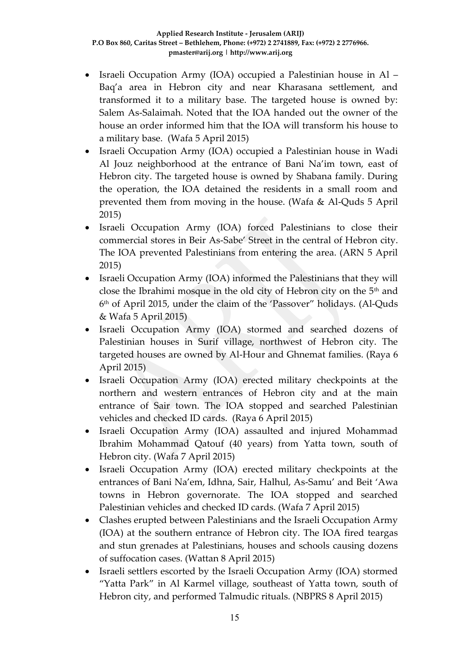- Israeli Occupation Army (IOA) occupied a Palestinian house in Al Baq'a area in Hebron city and near Kharasana settlement, and transformed it to a military base. The targeted house is owned by: Salem As-Salaimah. Noted that the IOA handed out the owner of the house an order informed him that the IOA will transform his house to a military base. (Wafa 5 April 2015)
- Israeli Occupation Army (IOA) occupied a Palestinian house in Wadi Al Jouz neighborhood at the entrance of Bani Na'im town, east of Hebron city. The targeted house is owned by Shabana family. During the operation, the IOA detained the residents in a small room and prevented them from moving in the house. (Wafa & Al-Quds 5 April 2015)
- Israeli Occupation Army (IOA) forced Palestinians to close their commercial stores in Beir As-Sabe' Street in the central of Hebron city. The IOA prevented Palestinians from entering the area. (ARN 5 April 2015)
- Israeli Occupation Army (IOA) informed the Palestinians that they will close the Ibrahimi mosque in the old city of Hebron city on the 5<sup>th</sup> and 6 th of April 2015, under the claim of the 'Passover" holidays. (Al-Quds & Wafa 5 April 2015)
- Israeli Occupation Army (IOA) stormed and searched dozens of Palestinian houses in Surif village, northwest of Hebron city. The targeted houses are owned by Al-Hour and Ghnemat families. (Raya 6 April 2015)
- Israeli Occupation Army (IOA) erected military checkpoints at the northern and western entrances of Hebron city and at the main entrance of Sair town. The IOA stopped and searched Palestinian vehicles and checked ID cards. (Raya 6 April 2015)
- Israeli Occupation Army (IOA) assaulted and injured Mohammad Ibrahim Mohammad Qatouf (40 years) from Yatta town, south of Hebron city. (Wafa 7 April 2015)
- Israeli Occupation Army (IOA) erected military checkpoints at the entrances of Bani Na'em, Idhna, Sair, Halhul, As-Samu' and Beit 'Awa towns in Hebron governorate. The IOA stopped and searched Palestinian vehicles and checked ID cards. (Wafa 7 April 2015)
- Clashes erupted between Palestinians and the Israeli Occupation Army (IOA) at the southern entrance of Hebron city. The IOA fired teargas and stun grenades at Palestinians, houses and schools causing dozens of suffocation cases. (Wattan 8 April 2015)
- Israeli settlers escorted by the Israeli Occupation Army (IOA) stormed "Yatta Park" in Al Karmel village, southeast of Yatta town, south of Hebron city, and performed Talmudic rituals. (NBPRS 8 April 2015)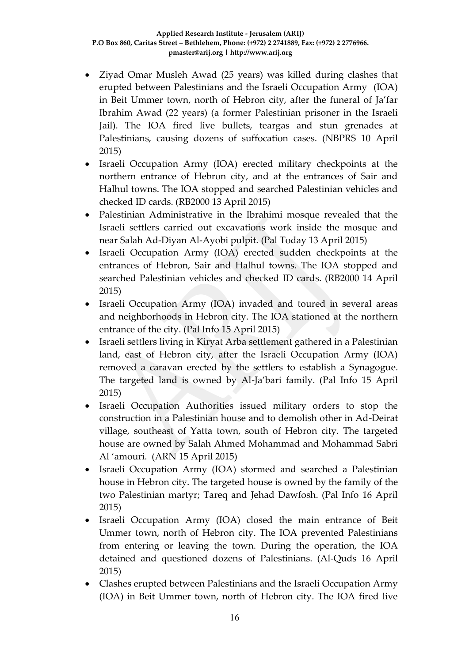- Ziyad Omar Musleh Awad (25 years) was killed during clashes that erupted between Palestinians and the Israeli Occupation Army (IOA) in Beit Ummer town, north of Hebron city, after the funeral of Ja'far Ibrahim Awad (22 years) (a former Palestinian prisoner in the Israeli Jail). The IOA fired live bullets, teargas and stun grenades at Palestinians, causing dozens of suffocation cases. (NBPRS 10 April 2015)
- Israeli Occupation Army (IOA) erected military checkpoints at the northern entrance of Hebron city, and at the entrances of Sair and Halhul towns. The IOA stopped and searched Palestinian vehicles and checked ID cards. (RB2000 13 April 2015)
- Palestinian Administrative in the Ibrahimi mosque revealed that the Israeli settlers carried out excavations work inside the mosque and near Salah Ad-Diyan Al-Ayobi pulpit. (Pal Today 13 April 2015)
- Israeli Occupation Army (IOA) erected sudden checkpoints at the entrances of Hebron, Sair and Halhul towns. The IOA stopped and searched Palestinian vehicles and checked ID cards. (RB2000 14 April 2015)
- Israeli Occupation Army (IOA) invaded and toured in several areas and neighborhoods in Hebron city. The IOA stationed at the northern entrance of the city. (Pal Info 15 April 2015)
- Israeli settlers living in Kiryat Arba settlement gathered in a Palestinian land, east of Hebron city, after the Israeli Occupation Army (IOA) removed a caravan erected by the settlers to establish a Synagogue. The targeted land is owned by Al-Ja'bari family. (Pal Info 15 April 2015)
- Israeli Occupation Authorities issued military orders to stop the construction in a Palestinian house and to demolish other in Ad-Deirat village, southeast of Yatta town, south of Hebron city. The targeted house are owned by Salah Ahmed Mohammad and Mohammad Sabri Al 'amouri. (ARN 15 April 2015)
- Israeli Occupation Army (IOA) stormed and searched a Palestinian house in Hebron city. The targeted house is owned by the family of the two Palestinian martyr; Tareq and Jehad Dawfosh. (Pal Info 16 April 2015)
- Israeli Occupation Army (IOA) closed the main entrance of Beit Ummer town, north of Hebron city. The IOA prevented Palestinians from entering or leaving the town. During the operation, the IOA detained and questioned dozens of Palestinians. (Al-Quds 16 April 2015)
- Clashes erupted between Palestinians and the Israeli Occupation Army (IOA) in Beit Ummer town, north of Hebron city. The IOA fired live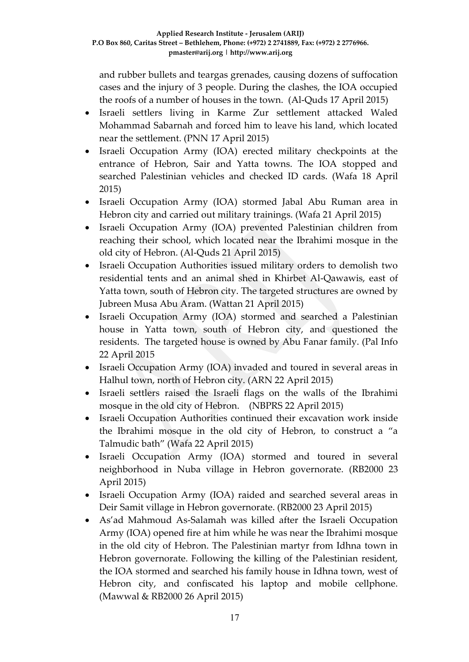and rubber bullets and teargas grenades, causing dozens of suffocation cases and the injury of 3 people. During the clashes, the IOA occupied the roofs of a number of houses in the town. (Al-Quds 17 April 2015)

- Israeli settlers living in Karme Zur settlement attacked Waled Mohammad Sabarnah and forced him to leave his land, which located near the settlement. (PNN 17 April 2015)
- Israeli Occupation Army (IOA) erected military checkpoints at the entrance of Hebron, Sair and Yatta towns. The IOA stopped and searched Palestinian vehicles and checked ID cards. (Wafa 18 April 2015)
- Israeli Occupation Army (IOA) stormed Jabal Abu Ruman area in Hebron city and carried out military trainings. (Wafa 21 April 2015)
- Israeli Occupation Army (IOA) prevented Palestinian children from reaching their school, which located near the Ibrahimi mosque in the old city of Hebron. (Al-Quds 21 April 2015)
- Israeli Occupation Authorities issued military orders to demolish two residential tents and an animal shed in Khirbet Al-Qawawis, east of Yatta town, south of Hebron city. The targeted structures are owned by Jubreen Musa Abu Aram. (Wattan 21 April 2015)
- Israeli Occupation Army (IOA) stormed and searched a Palestinian house in Yatta town, south of Hebron city, and questioned the residents. The targeted house is owned by Abu Fanar family. (Pal Info 22 April 2015
- Israeli Occupation Army (IOA) invaded and toured in several areas in Halhul town, north of Hebron city. (ARN 22 April 2015)
- Israeli settlers raised the Israeli flags on the walls of the Ibrahimi mosque in the old city of Hebron. (NBPRS 22 April 2015)
- Israeli Occupation Authorities continued their excavation work inside the Ibrahimi mosque in the old city of Hebron, to construct a "a Talmudic bath" (Wafa 22 April 2015)
- Israeli Occupation Army (IOA) stormed and toured in several neighborhood in Nuba village in Hebron governorate. (RB2000 23 April 2015)
- Israeli Occupation Army (IOA) raided and searched several areas in Deir Samit village in Hebron governorate. (RB2000 23 April 2015)
- As'ad Mahmoud As-Salamah was killed after the Israeli Occupation Army (IOA) opened fire at him while he was near the Ibrahimi mosque in the old city of Hebron. The Palestinian martyr from Idhna town in Hebron governorate. Following the killing of the Palestinian resident, the IOA stormed and searched his family house in Idhna town, west of Hebron city, and confiscated his laptop and mobile cellphone. (Mawwal & RB2000 26 April 2015)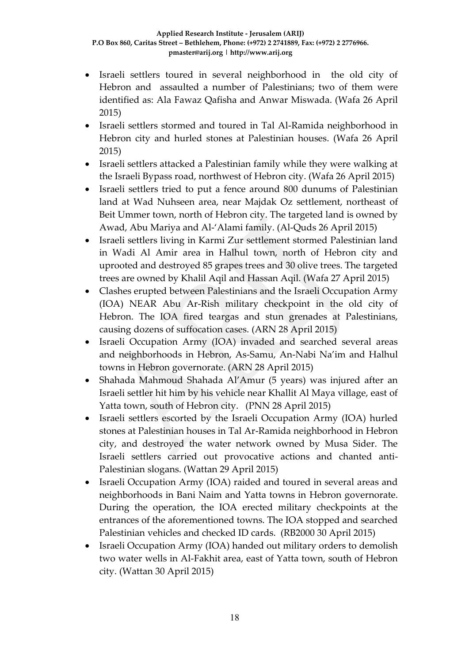- Israeli settlers toured in several neighborhood in the old city of Hebron and assaulted a number of Palestinians; two of them were identified as: Ala Fawaz Qafisha and Anwar Miswada. (Wafa 26 April 2015)
- Israeli settlers stormed and toured in Tal Al-Ramida neighborhood in Hebron city and hurled stones at Palestinian houses. (Wafa 26 April 2015)
- Israeli settlers attacked a Palestinian family while they were walking at the Israeli Bypass road, northwest of Hebron city. (Wafa 26 April 2015)
- Israeli settlers tried to put a fence around 800 dunums of Palestinian land at Wad Nuhseen area, near Majdak Oz settlement, northeast of Beit Ummer town, north of Hebron city. The targeted land is owned by Awad, Abu Mariya and Al-'Alami family. (Al-Quds 26 April 2015)
- Israeli settlers living in Karmi Zur settlement stormed Palestinian land in Wadi Al Amir area in Halhul town, north of Hebron city and uprooted and destroyed 85 grapes trees and 30 olive trees. The targeted trees are owned by Khalil Aqil and Hassan Aqil. (Wafa 27 April 2015)
- Clashes erupted between Palestinians and the Israeli Occupation Army (IOA) NEAR Abu Ar-Rish military checkpoint in the old city of Hebron. The IOA fired teargas and stun grenades at Palestinians, causing dozens of suffocation cases. (ARN 28 April 2015)
- Israeli Occupation Army (IOA) invaded and searched several areas and neighborhoods in Hebron, As-Samu, An-Nabi Na'im and Halhul towns in Hebron governorate. (ARN 28 April 2015)
- Shahada Mahmoud Shahada Al'Amur (5 years) was injured after an Israeli settler hit him by his vehicle near Khallit Al Maya village, east of Yatta town, south of Hebron city. (PNN 28 April 2015)
- Israeli settlers escorted by the Israeli Occupation Army (IOA) hurled stones at Palestinian houses in Tal Ar-Ramida neighborhood in Hebron city, and destroyed the water network owned by Musa Sider. The Israeli settlers carried out provocative actions and chanted anti-Palestinian slogans. (Wattan 29 April 2015)
- Israeli Occupation Army (IOA) raided and toured in several areas and neighborhoods in Bani Naim and Yatta towns in Hebron governorate. During the operation, the IOA erected military checkpoints at the entrances of the aforementioned towns. The IOA stopped and searched Palestinian vehicles and checked ID cards. (RB2000 30 April 2015)
- Israeli Occupation Army (IOA) handed out military orders to demolish two water wells in Al-Fakhit area, east of Yatta town, south of Hebron city. (Wattan 30 April 2015)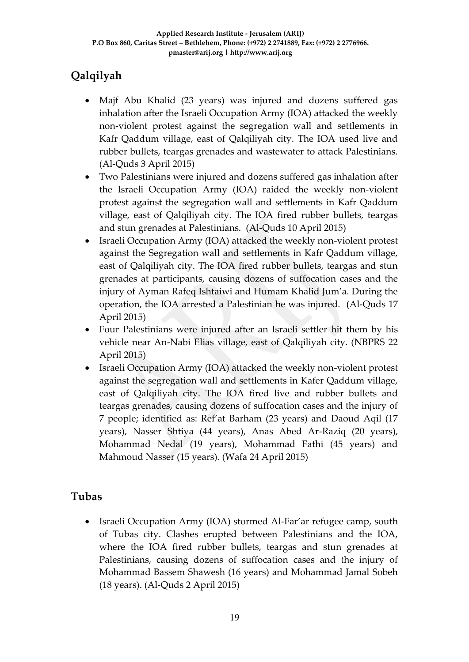# **Qalqilyah**

- Majf Abu Khalid (23 years) was injured and dozens suffered gas inhalation after the Israeli Occupation Army (IOA) attacked the weekly non-violent protest against the segregation wall and settlements in Kafr Qaddum village, east of Qalqiliyah city. The IOA used live and rubber bullets, teargas grenades and wastewater to attack Palestinians. (Al-Quds 3 April 2015)
- Two Palestinians were injured and dozens suffered gas inhalation after the Israeli Occupation Army (IOA) raided the weekly non-violent protest against the segregation wall and settlements in Kafr Qaddum village, east of Qalqiliyah city. The IOA fired rubber bullets, teargas and stun grenades at Palestinians. (Al-Quds 10 April 2015)
- Israeli Occupation Army (IOA) attacked the weekly non-violent protest against the Segregation wall and settlements in Kafr Qaddum village, east of Qalqiliyah city. The IOA fired rubber bullets, teargas and stun grenades at participants, causing dozens of suffocation cases and the injury of Ayman Rafeq Ishtaiwi and Humam Khalid Jum'a. During the operation, the IOA arrested a Palestinian he was injured. (Al-Quds 17 April 2015)
- Four Palestinians were injured after an Israeli settler hit them by his vehicle near An-Nabi Elias village, east of Qalqiliyah city. (NBPRS 22 April 2015)
- Israeli Occupation Army (IOA) attacked the weekly non-violent protest against the segregation wall and settlements in Kafer Qaddum village, east of Qalqiliyah city. The IOA fired live and rubber bullets and teargas grenades, causing dozens of suffocation cases and the injury of 7 people; identified as: Ref'at Barham (23 years) and Daoud Aqil (17 years), Nasser Shtiya (44 years), Anas Abed Ar-Raziq (20 years), Mohammad Nedal (19 years), Mohammad Fathi (45 years) and Mahmoud Nasser (15 years). (Wafa 24 April 2015)

## **Tubas**

• Israeli Occupation Army (IOA) stormed Al-Far'ar refugee camp, south of Tubas city. Clashes erupted between Palestinians and the IOA, where the IOA fired rubber bullets, teargas and stun grenades at Palestinians, causing dozens of suffocation cases and the injury of Mohammad Bassem Shawesh (16 years) and Mohammad Jamal Sobeh (18 years). (Al-Quds 2 April 2015)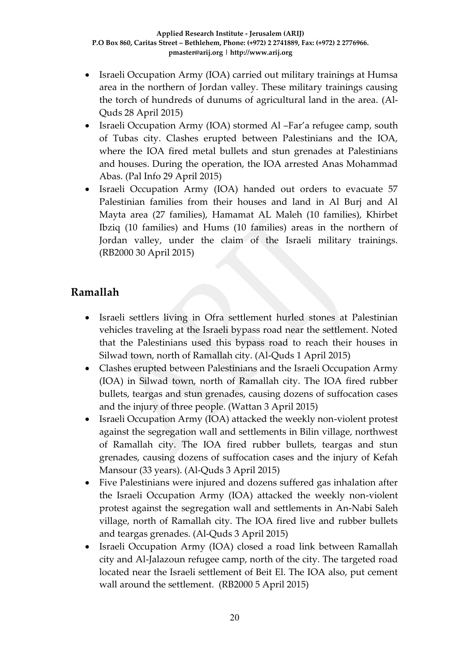- Israeli Occupation Army (IOA) carried out military trainings at Humsa area in the northern of Jordan valley. These military trainings causing the torch of hundreds of dunums of agricultural land in the area. (Al-Quds 28 April 2015)
- Israeli Occupation Army (IOA) stormed Al –Far'a refugee camp, south of Tubas city. Clashes erupted between Palestinians and the IOA, where the IOA fired metal bullets and stun grenades at Palestinians and houses. During the operation, the IOA arrested Anas Mohammad Abas. (Pal Info 29 April 2015)
- Israeli Occupation Army (IOA) handed out orders to evacuate 57 Palestinian families from their houses and land in Al Burj and Al Mayta area (27 families), Hamamat AL Maleh (10 families), Khirbet Ibziq (10 families) and Hums (10 families) areas in the northern of Jordan valley, under the claim of the Israeli military trainings. (RB2000 30 April 2015)

#### **Ramallah**

- Israeli settlers living in Ofra settlement hurled stones at Palestinian vehicles traveling at the Israeli bypass road near the settlement. Noted that the Palestinians used this bypass road to reach their houses in Silwad town, north of Ramallah city. (Al-Quds 1 April 2015)
- Clashes erupted between Palestinians and the Israeli Occupation Army (IOA) in Silwad town, north of Ramallah city. The IOA fired rubber bullets, teargas and stun grenades, causing dozens of suffocation cases and the injury of three people. (Wattan 3 April 2015)
- Israeli Occupation Army (IOA) attacked the weekly non-violent protest against the segregation wall and settlements in Bilin village, northwest of Ramallah city. The IOA fired rubber bullets, teargas and stun grenades, causing dozens of suffocation cases and the injury of Kefah Mansour (33 years). (Al-Quds 3 April 2015)
- Five Palestinians were injured and dozens suffered gas inhalation after the Israeli Occupation Army (IOA) attacked the weekly non-violent protest against the segregation wall and settlements in An-Nabi Saleh village, north of Ramallah city. The IOA fired live and rubber bullets and teargas grenades. (Al-Quds 3 April 2015)
- Israeli Occupation Army (IOA) closed a road link between Ramallah city and Al-Jalazoun refugee camp, north of the city. The targeted road located near the Israeli settlement of Beit El. The IOA also, put cement wall around the settlement. (RB2000 5 April 2015)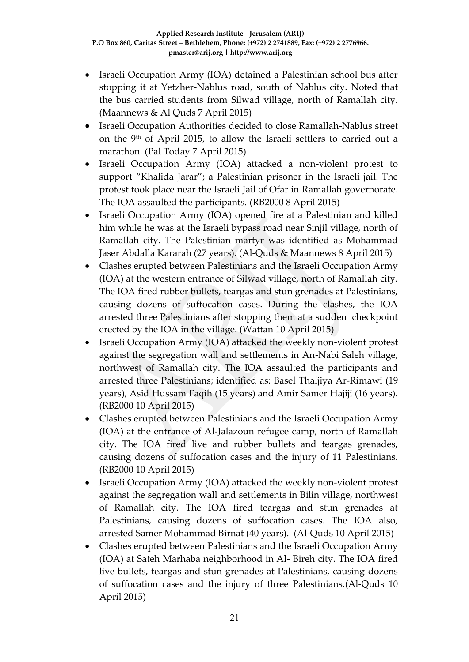- Israeli Occupation Army (IOA) detained a Palestinian school bus after stopping it at Yetzher-Nablus road, south of Nablus city. Noted that the bus carried students from Silwad village, north of Ramallah city. (Maannews & Al Quds 7 April 2015)
- Israeli Occupation Authorities decided to close Ramallah-Nablus street on the 9th of April 2015, to allow the Israeli settlers to carried out a marathon. (Pal Today 7 April 2015)
- Israeli Occupation Army (IOA) attacked a non-violent protest to support "Khalida Jarar"; a Palestinian prisoner in the Israeli jail. The protest took place near the Israeli Jail of Ofar in Ramallah governorate. The IOA assaulted the participants. (RB2000 8 April 2015)
- Israeli Occupation Army (IOA) opened fire at a Palestinian and killed him while he was at the Israeli bypass road near Sinjil village, north of Ramallah city. The Palestinian martyr was identified as Mohammad Jaser Abdalla Kararah (27 years). (Al-Quds & Maannews 8 April 2015)
- Clashes erupted between Palestinians and the Israeli Occupation Army (IOA) at the western entrance of Silwad village, north of Ramallah city. The IOA fired rubber bullets, teargas and stun grenades at Palestinians, causing dozens of suffocation cases. During the clashes, the IOA arrested three Palestinians after stopping them at a sudden checkpoint erected by the IOA in the village. (Wattan 10 April 2015)
- Israeli Occupation Army (IOA) attacked the weekly non-violent protest against the segregation wall and settlements in An-Nabi Saleh village, northwest of Ramallah city. The IOA assaulted the participants and arrested three Palestinians; identified as: Basel Thaljiya Ar-Rimawi (19 years), Asid Hussam Faqih (15 years) and Amir Samer Hajiji (16 years). (RB2000 10 April 2015)
- Clashes erupted between Palestinians and the Israeli Occupation Army (IOA) at the entrance of Al-Jalazoun refugee camp, north of Ramallah city. The IOA fired live and rubber bullets and teargas grenades, causing dozens of suffocation cases and the injury of 11 Palestinians. (RB2000 10 April 2015)
- Israeli Occupation Army (IOA) attacked the weekly non-violent protest against the segregation wall and settlements in Bilin village, northwest of Ramallah city. The IOA fired teargas and stun grenades at Palestinians, causing dozens of suffocation cases. The IOA also, arrested Samer Mohammad Birnat (40 years). (Al-Quds 10 April 2015)
- Clashes erupted between Palestinians and the Israeli Occupation Army (IOA) at Sateh Marhaba neighborhood in Al- Bireh city. The IOA fired live bullets, teargas and stun grenades at Palestinians, causing dozens of suffocation cases and the injury of three Palestinians.(Al-Quds 10 April 2015)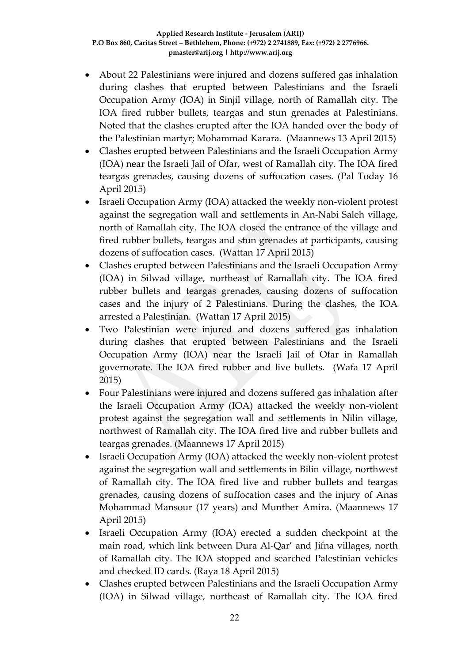- About 22 Palestinians were injured and dozens suffered gas inhalation during clashes that erupted between Palestinians and the Israeli Occupation Army (IOA) in Sinjil village, north of Ramallah city. The IOA fired rubber bullets, teargas and stun grenades at Palestinians. Noted that the clashes erupted after the IOA handed over the body of the Palestinian martyr; Mohammad Karara. (Maannews 13 April 2015)
- Clashes erupted between Palestinians and the Israeli Occupation Army (IOA) near the Israeli Jail of Ofar, west of Ramallah city. The IOA fired teargas grenades, causing dozens of suffocation cases. (Pal Today 16 April 2015)
- Israeli Occupation Army (IOA) attacked the weekly non-violent protest against the segregation wall and settlements in An-Nabi Saleh village, north of Ramallah city. The IOA closed the entrance of the village and fired rubber bullets, teargas and stun grenades at participants, causing dozens of suffocation cases. (Wattan 17 April 2015)
- Clashes erupted between Palestinians and the Israeli Occupation Army (IOA) in Silwad village, northeast of Ramallah city. The IOA fired rubber bullets and teargas grenades, causing dozens of suffocation cases and the injury of 2 Palestinians. During the clashes, the IOA arrested a Palestinian. (Wattan 17 April 2015)
- Two Palestinian were injured and dozens suffered gas inhalation during clashes that erupted between Palestinians and the Israeli Occupation Army (IOA) near the Israeli Jail of Ofar in Ramallah governorate. The IOA fired rubber and live bullets. (Wafa 17 April 2015)
- Four Palestinians were injured and dozens suffered gas inhalation after the Israeli Occupation Army (IOA) attacked the weekly non-violent protest against the segregation wall and settlements in Nilin village, northwest of Ramallah city. The IOA fired live and rubber bullets and teargas grenades. (Maannews 17 April 2015)
- Israeli Occupation Army (IOA) attacked the weekly non-violent protest against the segregation wall and settlements in Bilin village, northwest of Ramallah city. The IOA fired live and rubber bullets and teargas grenades, causing dozens of suffocation cases and the injury of Anas Mohammad Mansour (17 years) and Munther Amira. (Maannews 17 April 2015)
- Israeli Occupation Army (IOA) erected a sudden checkpoint at the main road, which link between Dura Al-Qar' and Jifna villages, north of Ramallah city. The IOA stopped and searched Palestinian vehicles and checked ID cards. (Raya 18 April 2015)
- Clashes erupted between Palestinians and the Israeli Occupation Army (IOA) in Silwad village, northeast of Ramallah city. The IOA fired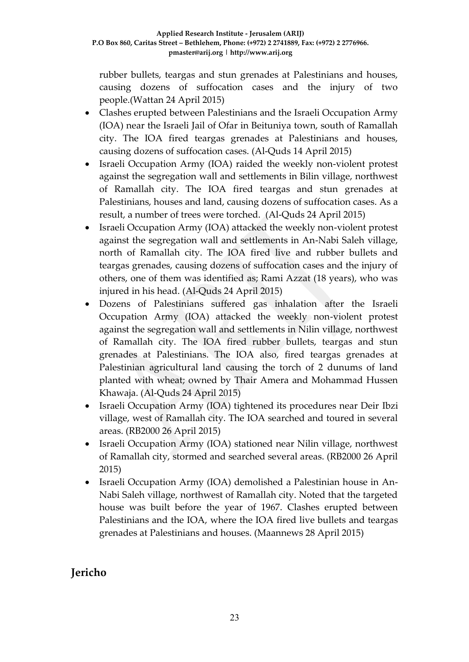rubber bullets, teargas and stun grenades at Palestinians and houses, causing dozens of suffocation cases and the injury of two people.(Wattan 24 April 2015)

- Clashes erupted between Palestinians and the Israeli Occupation Army (IOA) near the Israeli Jail of Ofar in Beituniya town, south of Ramallah city. The IOA fired teargas grenades at Palestinians and houses, causing dozens of suffocation cases. (Al-Quds 14 April 2015)
- Israeli Occupation Army (IOA) raided the weekly non-violent protest against the segregation wall and settlements in Bilin village, northwest of Ramallah city. The IOA fired teargas and stun grenades at Palestinians, houses and land, causing dozens of suffocation cases. As a result, a number of trees were torched. (Al-Quds 24 April 2015)
- Israeli Occupation Army (IOA) attacked the weekly non-violent protest against the segregation wall and settlements in An-Nabi Saleh village, north of Ramallah city. The IOA fired live and rubber bullets and teargas grenades, causing dozens of suffocation cases and the injury of others, one of them was identified as; Rami Azzat (18 years), who was injured in his head. (Al-Quds 24 April 2015)
- Dozens of Palestinians suffered gas inhalation after the Israeli Occupation Army (IOA) attacked the weekly non-violent protest against the segregation wall and settlements in Nilin village, northwest of Ramallah city. The IOA fired rubber bullets, teargas and stun grenades at Palestinians. The IOA also, fired teargas grenades at Palestinian agricultural land causing the torch of 2 dunums of land planted with wheat; owned by Thair Amera and Mohammad Hussen Khawaja. (Al-Quds 24 April 2015)
- Israeli Occupation Army (IOA) tightened its procedures near Deir Ibzi village, west of Ramallah city. The IOA searched and toured in several areas. (RB2000 26 April 2015)
- Israeli Occupation Army (IOA) stationed near Nilin village, northwest of Ramallah city, stormed and searched several areas. (RB2000 26 April 2015)
- Israeli Occupation Army (IOA) demolished a Palestinian house in An-Nabi Saleh village, northwest of Ramallah city. Noted that the targeted house was built before the year of 1967. Clashes erupted between Palestinians and the IOA, where the IOA fired live bullets and teargas grenades at Palestinians and houses. (Maannews 28 April 2015)

## **Jericho**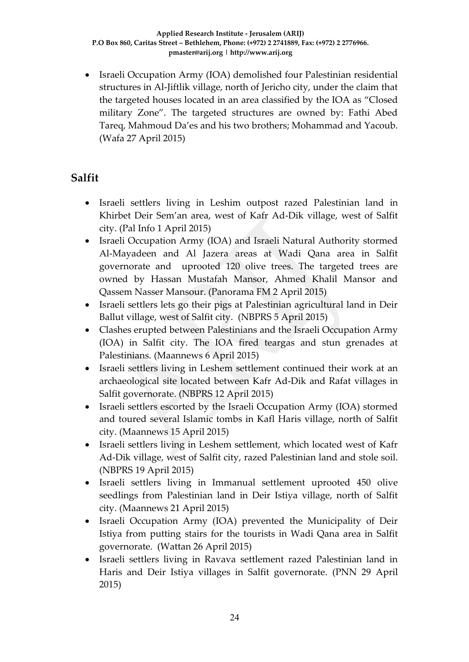• Israeli Occupation Army (IOA) demolished four Palestinian residential structures in Al-Jiftlik village, north of Jericho city, under the claim that the targeted houses located in an area classified by the IOA as "Closed military Zone". The targeted structures are owned by: Fathi Abed Tareq, Mahmoud Da'es and his two brothers; Mohammad and Yacoub. (Wafa 27 April 2015)

#### **Salfit**

- Israeli settlers living in Leshim outpost razed Palestinian land in Khirbet Deir Sem'an area, west of Kafr Ad-Dik village, west of Salfit city. (Pal Info 1 April 2015)
- Israeli Occupation Army (IOA) and Israeli Natural Authority stormed Al-Mayadeen and Al Jazera areas at Wadi Qana area in Salfit governorate and uprooted 120 olive trees. The targeted trees are owned by Hassan Mustafah Mansor, Ahmed Khalil Mansor and Qassem Nasser Mansour. (Panorama FM 2 April 2015)
- Israeli settlers lets go their pigs at Palestinian agricultural land in Deir Ballut village, west of Salfit city. (NBPRS 5 April 2015)
- Clashes erupted between Palestinians and the Israeli Occupation Army (IOA) in Salfit city. The IOA fired teargas and stun grenades at Palestinians. (Maannews 6 April 2015)
- Israeli settlers living in Leshem settlement continued their work at an archaeological site located between Kafr Ad-Dik and Rafat villages in Salfit governorate. (NBPRS 12 April 2015)
- Israeli settlers escorted by the Israeli Occupation Army (IOA) stormed and toured several Islamic tombs in Kafl Haris village, north of Salfit city. (Maannews 15 April 2015)
- Israeli settlers living in Leshem settlement, which located west of Kafr Ad-Dik village, west of Salfit city, razed Palestinian land and stole soil. (NBPRS 19 April 2015)
- Israeli settlers living in Immanual settlement uprooted 450 olive seedlings from Palestinian land in Deir Istiya village, north of Salfit city. (Maannews 21 April 2015)
- Israeli Occupation Army (IOA) prevented the Municipality of Deir Istiya from putting stairs for the tourists in Wadi Qana area in Salfit governorate. (Wattan 26 April 2015)
- Israeli settlers living in Ravava settlement razed Palestinian land in Haris and Deir Istiya villages in Salfit governorate. (PNN 29 April 2015)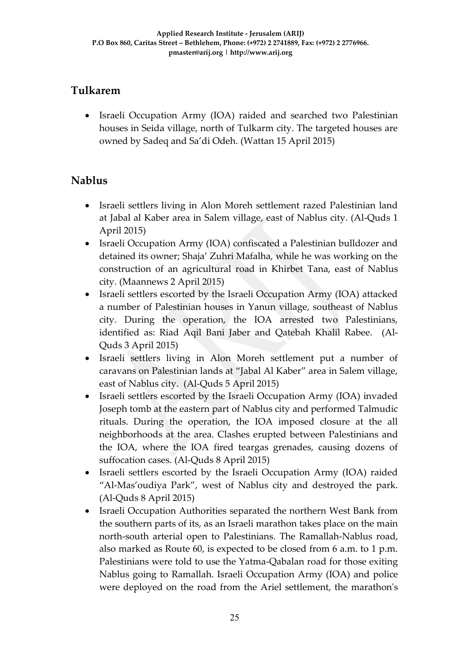### **Tulkarem**

 Israeli Occupation Army (IOA) raided and searched two Palestinian houses in Seida village, north of Tulkarm city. The targeted houses are owned by Sadeq and Sa'di Odeh. (Wattan 15 April 2015)

## **Nablus**

- Israeli settlers living in Alon Moreh settlement razed Palestinian land at Jabal al Kaber area in Salem village, east of Nablus city. (Al-Quds 1 April 2015)
- Israeli Occupation Army (IOA) confiscated a Palestinian bulldozer and detained its owner; Shaja' Zuhri Mafalha, while he was working on the construction of an agricultural road in Khirbet Tana, east of Nablus city. (Maannews 2 April 2015)
- Israeli settlers escorted by the Israeli Occupation Army (IOA) attacked a number of Palestinian houses in Yanun village, southeast of Nablus city. During the operation, the IOA arrested two Palestinians, identified as: Riad Aqil Bani Jaber and Qatebah Khalil Rabee. (Al-Quds 3 April 2015)
- Israeli settlers living in Alon Moreh settlement put a number of caravans on Palestinian lands at "Jabal Al Kaber" area in Salem village, east of Nablus city. (Al-Quds 5 April 2015)
- Israeli settlers escorted by the Israeli Occupation Army (IOA) invaded Joseph tomb at the eastern part of Nablus city and performed Talmudic rituals. During the operation, the IOA imposed closure at the all neighborhoods at the area. Clashes erupted between Palestinians and the IOA, where the IOA fired teargas grenades, causing dozens of suffocation cases. (Al-Quds 8 April 2015)
- Israeli settlers escorted by the Israeli Occupation Army (IOA) raided "Al-Mas'oudiya Park", west of Nablus city and destroyed the park. (Al-Quds 8 April 2015)
- Israeli Occupation Authorities separated the northern West Bank from the southern parts of its, as an Israeli marathon takes place on the main north-south arterial open to Palestinians. The Ramallah-Nablus road, also marked as Route 60, is expected to be closed from 6 a.m. to 1 p.m. Palestinians were told to use the Yatma-Qabalan road for those exiting Nablus going to Ramallah. Israeli Occupation Army (IOA) and police were deployed on the road from the Ariel settlement, the marathon's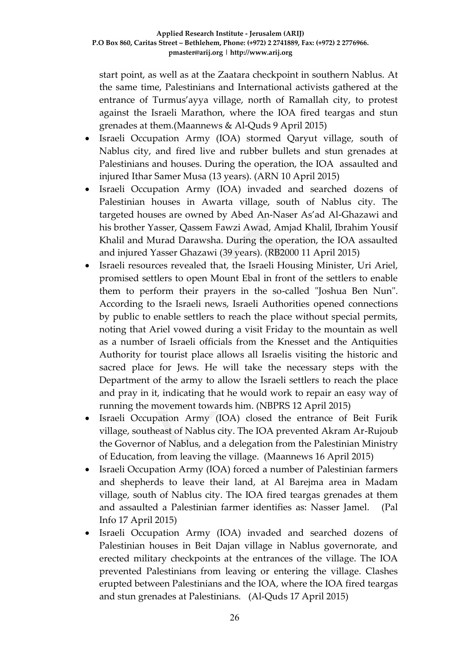start point, as well as at the Zaatara checkpoint in southern Nablus. At the same time, Palestinians and International activists gathered at the entrance of Turmus'ayya village, north of Ramallah city, to protest against the Israeli Marathon, where the IOA fired teargas and stun grenades at them.(Maannews & Al-Quds 9 April 2015)

- Israeli Occupation Army (IOA) stormed Qaryut village, south of Nablus city, and fired live and rubber bullets and stun grenades at Palestinians and houses. During the operation, the IOA assaulted and injured Ithar Samer Musa (13 years). (ARN 10 April 2015)
- Israeli Occupation Army (IOA) invaded and searched dozens of Palestinian houses in Awarta village, south of Nablus city. The targeted houses are owned by Abed An-Naser As'ad Al-Ghazawi and his brother Yasser, Qassem Fawzi Awad, Amjad Khalil, Ibrahim Yousif Khalil and Murad Darawsha. During the operation, the IOA assaulted and injured Yasser Ghazawi (39 years). (RB2000 11 April 2015)
- Israeli resources revealed that, the Israeli Housing Minister, Uri Ariel, promised settlers to open Mount Ebal in front of the settlers to enable them to perform their prayers in the so-called "Joshua Ben Nun". According to the Israeli news, Israeli Authorities opened connections by public to enable settlers to reach the place without special permits, noting that Ariel vowed during a visit Friday to the mountain as well as a number of Israeli officials from the Knesset and the Antiquities Authority for tourist place allows all Israelis visiting the historic and sacred place for Jews. He will take the necessary steps with the Department of the army to allow the Israeli settlers to reach the place and pray in it, indicating that he would work to repair an easy way of running the movement towards him. (NBPRS 12 April 2015)
- Israeli Occupation Army (IOA) closed the entrance of Beit Furik village, southeast of Nablus city. The IOA prevented Akram Ar-Rujoub the Governor of Nablus, and a delegation from the Palestinian Ministry of Education, from leaving the village. (Maannews 16 April 2015)
- Israeli Occupation Army (IOA) forced a number of Palestinian farmers and shepherds to leave their land, at Al Barejma area in Madam village, south of Nablus city. The IOA fired teargas grenades at them and assaulted a Palestinian farmer identifies as: Nasser Jamel. (Pal Info 17 April 2015)
- Israeli Occupation Army (IOA) invaded and searched dozens of Palestinian houses in Beit Dajan village in Nablus governorate, and erected military checkpoints at the entrances of the village. The IOA prevented Palestinians from leaving or entering the village. Clashes erupted between Palestinians and the IOA, where the IOA fired teargas and stun grenades at Palestinians. (Al-Quds 17 April 2015)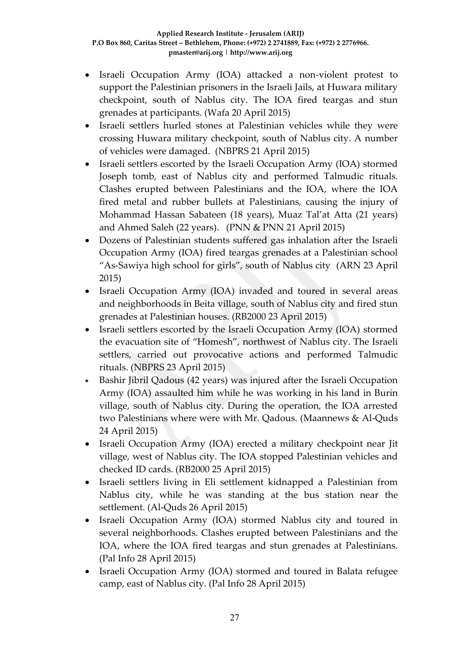- Israeli Occupation Army (IOA) attacked a non-violent protest to support the Palestinian prisoners in the Israeli Jails, at Huwara military checkpoint, south of Nablus city. The IOA fired teargas and stun grenades at participants. (Wafa 20 April 2015)
- Israeli settlers hurled stones at Palestinian vehicles while they were crossing Huwara military checkpoint, south of Nablus city. A number of vehicles were damaged. (NBPRS 21 April 2015)
- Israeli settlers escorted by the Israeli Occupation Army (IOA) stormed Joseph tomb, east of Nablus city and performed Talmudic rituals. Clashes erupted between Palestinians and the IOA, where the IOA fired metal and rubber bullets at Palestinians, causing the injury of Mohammad Hassan Sabateen (18 years), Muaz Tal'at Atta (21 years) and Ahmed Saleh (22 years). (PNN & PNN 21 April 2015)
- Dozens of Palestinian students suffered gas inhalation after the Israeli Occupation Army (IOA) fired teargas grenades at a Palestinian school "As-Sawiya high school for girls", south of Nablus city (ARN 23 April 2015)
- Israeli Occupation Army (IOA) invaded and toured in several areas and neighborhoods in Beita village, south of Nablus city and fired stun grenades at Palestinian houses. (RB2000 23 April 2015)
- Israeli settlers escorted by the Israeli Occupation Army (IOA) stormed the evacuation site of "Homesh", northwest of Nablus city. The Israeli settlers, carried out provocative actions and performed Talmudic rituals. (NBPRS 23 April 2015)
- Bashir Jibril Qadous (42 years) was injured after the Israeli Occupation Army (IOA) assaulted him while he was working in his land in Burin village, south of Nablus city. During the operation, the IOA arrested two Palestinians where were with Mr. Qadous. (Maannews & Al-Quds 24 April 2015)
- Israeli Occupation Army (IOA) erected a military checkpoint near Jit village, west of Nablus city. The IOA stopped Palestinian vehicles and checked ID cards. (RB2000 25 April 2015)
- Israeli settlers living in Eli settlement kidnapped a Palestinian from Nablus city, while he was standing at the bus station near the settlement. (Al-Quds 26 April 2015)
- Israeli Occupation Army (IOA) stormed Nablus city and toured in several neighborhoods. Clashes erupted between Palestinians and the IOA, where the IOA fired teargas and stun grenades at Palestinians. (Pal Info 28 April 2015)
- Israeli Occupation Army (IOA) stormed and toured in Balata refugee camp, east of Nablus city. (Pal Info 28 April 2015)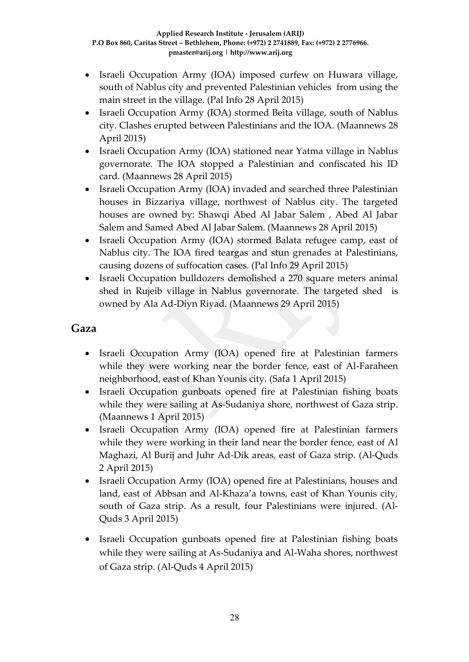- Israeli Occupation Army (IOA) imposed curfew on Huwara village, south of Nablus city and prevented Palestinian vehicles from using the main street in the village. (Pal Info 28 April 2015)
- Israeli Occupation Army (IOA) stormed Beita village, south of Nablus city. Clashes erupted between Palestinians and the IOA. (Maannews 28 April 2015)
- Israeli Occupation Army (IOA) stationed near Yatma village in Nablus governorate. The IOA stopped a Palestinian and confiscated his ID card. (Maannews 28 April 2015)
- Israeli Occupation Army (IOA) invaded and searched three Palestinian houses in Bizzariya village, northwest of Nablus city. The targeted houses are owned by: Shawqi Abed Al Jabar Salem , Abed Al Jabar Salem and Samed Abed Al Jabar Salem. (Maannews 28 April 2015)
- Israeli Occupation Army (IOA) stormed Balata refugee camp, east of Nablus city. The IOA fired teargas and stun grenades at Palestinians, causing dozens of suffocation cases. (Pal Info 29 April 2015)
- Israeli Occupation bulldozers demolished a 270 square meters animal shed in Rujeib village in Nablus governorate. The targeted shed is owned by Ala Ad-Diyn Riyad. (Maannews 29 April 2015)

#### **Gaza**

- Israeli Occupation Army (IOA) opened fire at Palestinian farmers while they were working near the border fence, east of Al-Faraheen neighborhood, east of Khan Younis city. (Safa 1 April 2015)
- Israeli Occupation gunboats opened fire at Palestinian fishing boats while they were sailing at As-Sudaniya shore, northwest of Gaza strip. (Maannews 1 April 2015)
- Israeli Occupation Army (IOA) opened fire at Palestinian farmers while they were working in their land near the border fence, east of Al Maghazi, Al Burij and Juhr Ad-Dik areas, east of Gaza strip. (Al-Quds 2 April 2015)
- Israeli Occupation Army (IOA) opened fire at Palestinians, houses and land, east of Abbsan and Al-Khaza'a towns, east of Khan Younis city, south of Gaza strip. As a result, four Palestinians were injured. (Al-Quds 3 April 2015)
- Israeli Occupation gunboats opened fire at Palestinian fishing boats while they were sailing at As-Sudaniya and Al-Waha shores, northwest of Gaza strip. (Al-Quds 4 April 2015)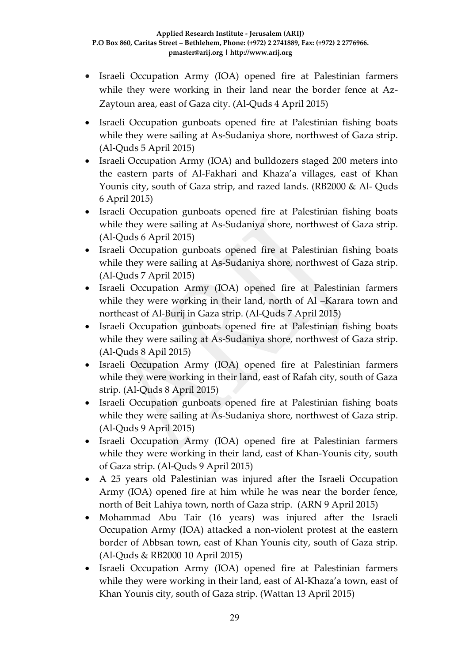- Israeli Occupation Army (IOA) opened fire at Palestinian farmers while they were working in their land near the border fence at Az-Zaytoun area, east of Gaza city. (Al-Quds 4 April 2015)
- Israeli Occupation gunboats opened fire at Palestinian fishing boats while they were sailing at As-Sudaniya shore, northwest of Gaza strip. (Al-Quds 5 April 2015)
- Israeli Occupation Army (IOA) and bulldozers staged 200 meters into the eastern parts of Al-Fakhari and Khaza'a villages, east of Khan Younis city, south of Gaza strip, and razed lands. (RB2000 & Al- Quds 6 April 2015)
- Israeli Occupation gunboats opened fire at Palestinian fishing boats while they were sailing at As-Sudaniya shore, northwest of Gaza strip. (Al-Quds 6 April 2015)
- Israeli Occupation gunboats opened fire at Palestinian fishing boats while they were sailing at As-Sudaniya shore, northwest of Gaza strip. (Al-Quds 7 April 2015)
- Israeli Occupation Army (IOA) opened fire at Palestinian farmers while they were working in their land, north of Al –Karara town and northeast of Al-Burij in Gaza strip. (Al-Quds 7 April 2015)
- Israeli Occupation gunboats opened fire at Palestinian fishing boats while they were sailing at As-Sudaniya shore, northwest of Gaza strip. (Al-Quds 8 Apil 2015)
- Israeli Occupation Army (IOA) opened fire at Palestinian farmers while they were working in their land, east of Rafah city, south of Gaza strip. (Al-Quds 8 April 2015)
- Israeli Occupation gunboats opened fire at Palestinian fishing boats while they were sailing at As-Sudaniya shore, northwest of Gaza strip. (Al-Quds 9 April 2015)
- Israeli Occupation Army (IOA) opened fire at Palestinian farmers while they were working in their land, east of Khan-Younis city, south of Gaza strip. (Al-Quds 9 April 2015)
- A 25 years old Palestinian was injured after the Israeli Occupation Army (IOA) opened fire at him while he was near the border fence, north of Beit Lahiya town, north of Gaza strip. (ARN 9 April 2015)
- Mohammad Abu Tair (16 years) was injured after the Israeli Occupation Army (IOA) attacked a non-violent protest at the eastern border of Abbsan town, east of Khan Younis city, south of Gaza strip. (Al-Quds & RB2000 10 April 2015)
- Israeli Occupation Army (IOA) opened fire at Palestinian farmers while they were working in their land, east of Al-Khaza'a town, east of Khan Younis city, south of Gaza strip. (Wattan 13 April 2015)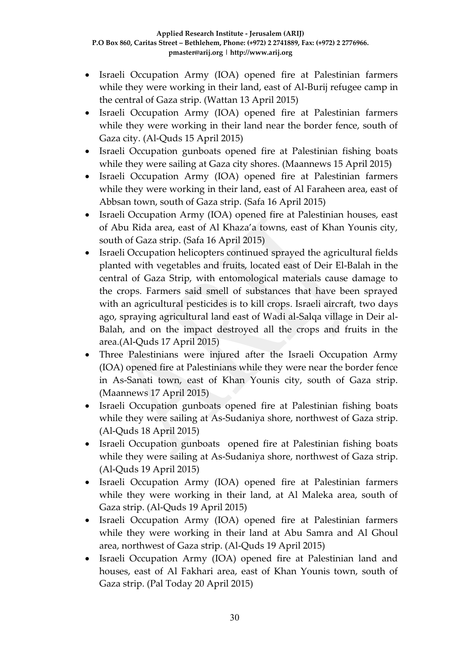- Israeli Occupation Army (IOA) opened fire at Palestinian farmers while they were working in their land, east of Al-Burij refugee camp in the central of Gaza strip. (Wattan 13 April 2015)
- Israeli Occupation Army (IOA) opened fire at Palestinian farmers while they were working in their land near the border fence, south of Gaza city. (Al-Quds 15 April 2015)
- Israeli Occupation gunboats opened fire at Palestinian fishing boats while they were sailing at Gaza city shores. (Maannews 15 April 2015)
- Israeli Occupation Army (IOA) opened fire at Palestinian farmers while they were working in their land, east of Al Faraheen area, east of Abbsan town, south of Gaza strip. (Safa 16 April 2015)
- Israeli Occupation Army (IOA) opened fire at Palestinian houses, east of Abu Rida area, east of Al Khaza'a towns, east of Khan Younis city, south of Gaza strip. (Safa 16 April 2015)
- Israeli Occupation helicopters continued sprayed the agricultural fields planted with vegetables and fruits, located east of Deir El-Balah in the central of Gaza Strip, with entomological materials cause damage to the crops. Farmers said smell of substances that have been sprayed with an agricultural pesticides is to kill crops. Israeli aircraft, two days ago, spraying agricultural land east of Wadi al-Salqa village in Deir al-Balah, and on the impact destroyed all the crops and fruits in the area.(Al-Quds 17 April 2015)
- Three Palestinians were injured after the Israeli Occupation Army (IOA) opened fire at Palestinians while they were near the border fence in As-Sanati town, east of Khan Younis city, south of Gaza strip. (Maannews 17 April 2015)
- Israeli Occupation gunboats opened fire at Palestinian fishing boats while they were sailing at As-Sudaniya shore, northwest of Gaza strip. (Al-Quds 18 April 2015)
- Israeli Occupation gunboats opened fire at Palestinian fishing boats while they were sailing at As-Sudaniya shore, northwest of Gaza strip. (Al-Quds 19 April 2015)
- Israeli Occupation Army (IOA) opened fire at Palestinian farmers while they were working in their land, at Al Maleka area, south of Gaza strip. (Al-Quds 19 April 2015)
- Israeli Occupation Army (IOA) opened fire at Palestinian farmers while they were working in their land at Abu Samra and Al Ghoul area, northwest of Gaza strip. (Al-Quds 19 April 2015)
- Israeli Occupation Army (IOA) opened fire at Palestinian land and houses, east of Al Fakhari area, east of Khan Younis town, south of Gaza strip. (Pal Today 20 April 2015)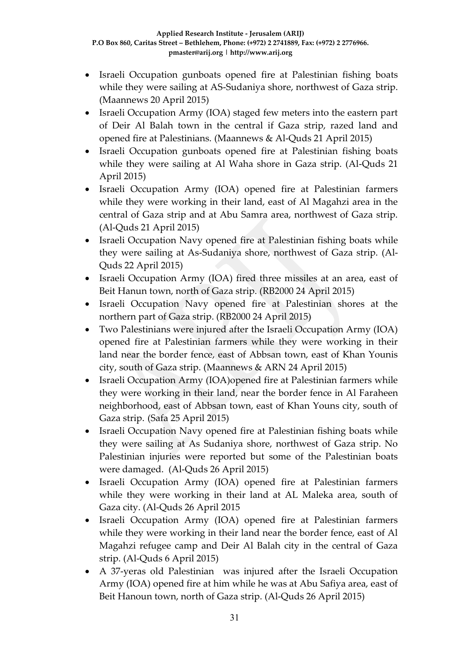- Israeli Occupation gunboats opened fire at Palestinian fishing boats while they were sailing at AS-Sudaniya shore, northwest of Gaza strip. (Maannews 20 April 2015)
- Israeli Occupation Army (IOA) staged few meters into the eastern part of Deir Al Balah town in the central if Gaza strip, razed land and opened fire at Palestinians. (Maannews & Al-Quds 21 April 2015)
- Israeli Occupation gunboats opened fire at Palestinian fishing boats while they were sailing at Al Waha shore in Gaza strip. (Al-Quds 21 April 2015)
- Israeli Occupation Army (IOA) opened fire at Palestinian farmers while they were working in their land, east of Al Magahzi area in the central of Gaza strip and at Abu Samra area, northwest of Gaza strip. (Al-Quds 21 April 2015)
- Israeli Occupation Navy opened fire at Palestinian fishing boats while they were sailing at As-Sudaniya shore, northwest of Gaza strip. (Al-Quds 22 April 2015)
- Israeli Occupation Army (IOA) fired three missiles at an area, east of Beit Hanun town, north of Gaza strip. (RB2000 24 April 2015)
- Israeli Occupation Navy opened fire at Palestinian shores at the northern part of Gaza strip. (RB2000 24 April 2015)
- Two Palestinians were injured after the Israeli Occupation Army (IOA) opened fire at Palestinian farmers while they were working in their land near the border fence, east of Abbsan town, east of Khan Younis city, south of Gaza strip. (Maannews & ARN 24 April 2015)
- Israeli Occupation Army (IOA)opened fire at Palestinian farmers while they were working in their land, near the border fence in Al Faraheen neighborhood, east of Abbsan town, east of Khan Youns city, south of Gaza strip. (Safa 25 April 2015)
- Israeli Occupation Navy opened fire at Palestinian fishing boats while they were sailing at As Sudaniya shore, northwest of Gaza strip. No Palestinian injuries were reported but some of the Palestinian boats were damaged. (Al-Quds 26 April 2015)
- Israeli Occupation Army (IOA) opened fire at Palestinian farmers while they were working in their land at AL Maleka area, south of Gaza city. (Al-Quds 26 April 2015
- Israeli Occupation Army (IOA) opened fire at Palestinian farmers while they were working in their land near the border fence, east of Al Magahzi refugee camp and Deir Al Balah city in the central of Gaza strip. (Al-Quds 6 April 2015)
- A 37-yeras old Palestinian was injured after the Israeli Occupation Army (IOA) opened fire at him while he was at Abu Safiya area, east of Beit Hanoun town, north of Gaza strip. (Al-Quds 26 April 2015)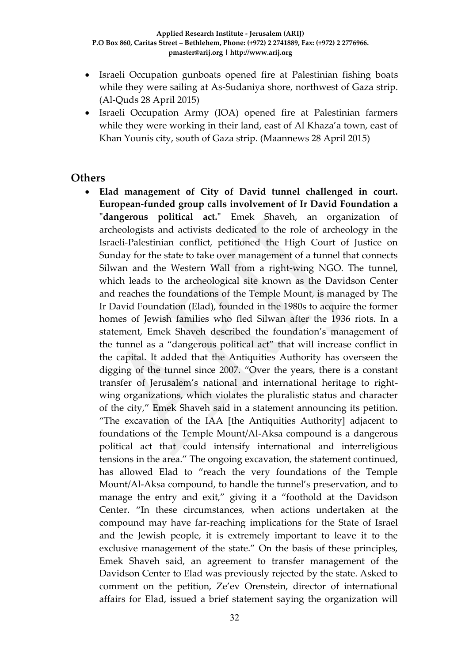- Israeli Occupation gunboats opened fire at Palestinian fishing boats while they were sailing at As-Sudaniya shore, northwest of Gaza strip. (Al-Quds 28 April 2015)
- Israeli Occupation Army (IOA) opened fire at Palestinian farmers while they were working in their land, east of Al Khaza'a town, east of Khan Younis city, south of Gaza strip. (Maannews 28 April 2015)

#### **Others**

 **Elad management of City of David tunnel challenged in court. European-funded group calls involvement of Ir David Foundation a "dangerous political act."** Emek Shaveh, an organization of archeologists and activists dedicated to the role of archeology in the Israeli-Palestinian conflict, petitioned the High Court of Justice on Sunday for the state to take over management of a tunnel that connects Silwan and the Western Wall from a right-wing NGO. The tunnel, which leads to the archeological site known as the Davidson Center and reaches the foundations of the Temple Mount, is managed by The Ir David Foundation (Elad), founded in the 1980s to acquire the former homes of Jewish families who fled Silwan after the 1936 riots. In a statement, Emek Shaveh described the foundation's management of the tunnel as a "dangerous political act" that will increase conflict in the capital. It added that the Antiquities Authority has overseen the digging of the tunnel since 2007. "Over the years, there is a constant transfer of Jerusalem's national and international heritage to rightwing organizations, which violates the pluralistic status and character of the city," Emek Shaveh said in a statement announcing its petition. "The excavation of the IAA [the Antiquities Authority] adjacent to foundations of the Temple Mount/Al-Aksa compound is a dangerous political act that could intensify international and interreligious tensions in the area." The ongoing excavation, the statement continued, has allowed Elad to "reach the very foundations of the Temple Mount/Al-Aksa compound, to handle the tunnel's preservation, and to manage the entry and exit," giving it a "foothold at the Davidson Center. "In these circumstances, when actions undertaken at the compound may have far-reaching implications for the State of Israel and the Jewish people, it is extremely important to leave it to the exclusive management of the state." On the basis of these principles, Emek Shaveh said, an agreement to transfer management of the Davidson Center to Elad was previously rejected by the state. Asked to comment on the petition, Ze'ev Orenstein, director of international affairs for Elad, issued a brief statement saying the organization will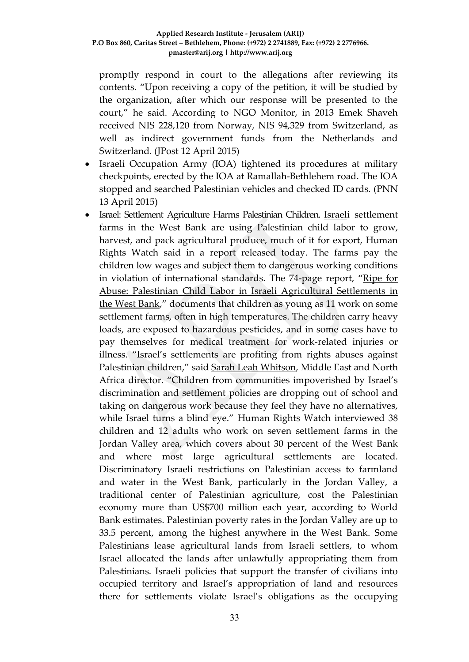promptly respond in court to the allegations after reviewing its contents. "Upon receiving a copy of the petition, it will be studied by the organization, after which our response will be presented to the court," he said. According to NGO Monitor, in 2013 Emek Shaveh received NIS 228,120 from Norway, NIS 94,329 from Switzerland, as well as indirect government funds from the Netherlands and Switzerland. (JPost 12 April 2015)

- Israeli Occupation Army (IOA) tightened its procedures at military checkpoints, erected by the IOA at Ramallah-Bethlehem road. The IOA stopped and searched Palestinian vehicles and checked ID cards. (PNN 13 April 2015)
- [Israel: Settlement Agriculture Harms Palestinian Children.](http://www.hrw.org/news/2015/04/13/israel-settlement-agriculture-harms-palestinian-children-0) [Israeli](https://www.hrw.org/middle-eastn-africa/israel-palestine) settlement farms in the West Bank are using Palestinian child labor to grow, harvest, and pack agricultural produce, much of it for export, Human Rights Watch said in a report released today. The farms pay the children low wages and subject them to dangerous working conditions in violation of international standards. The 74-page report, "[Ripe for](http://hrw.org/node/133920)  [Abuse: Palestinian Child Labor in Israeli Agricultural Settlements in](http://hrw.org/node/133920)  [the West Bank](http://hrw.org/node/133920)," documents that children as young as 11 work on some settlement farms, often in high temperatures. The children carry heavy loads, are exposed to hazardous pesticides, and in some cases have to pay themselves for medical treatment for work-related injuries or illness. "Israel's settlements are profiting from rights abuses against Palestinian children," said [Sarah Leah Whitson,](http://www.hrw.org/bios/sarah-leah-whitson) Middle East and North Africa director. "Children from communities impoverished by Israel's discrimination and settlement policies are dropping out of school and taking on dangerous work because they feel they have no alternatives, while Israel turns a blind eye." Human Rights Watch interviewed 38 children and 12 adults who work on seven settlement farms in the Jordan Valley area, which covers about 30 percent of the West Bank and where most large agricultural settlements are located. Discriminatory Israeli restrictions on Palestinian access to farmland and water in the West Bank, particularly in the Jordan Valley, a traditional center of Palestinian agriculture, cost the Palestinian economy more than US\$700 million each year, according to World Bank estimates. Palestinian poverty rates in the Jordan Valley are up to 33.5 percent, among the highest anywhere in the West Bank. Some Palestinians lease agricultural lands from Israeli settlers, to whom Israel allocated the lands after unlawfully appropriating them from Palestinians. Israeli policies that support the transfer of civilians into occupied territory and Israel's appropriation of land and resources there for settlements violate Israel's obligations as the occupying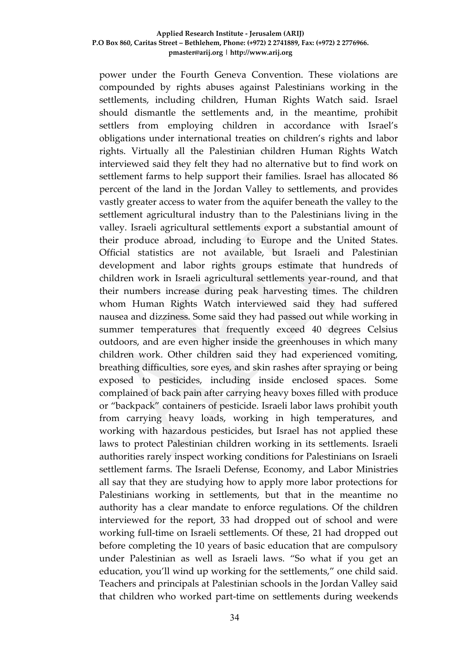power under the Fourth Geneva Convention. These violations are compounded by rights abuses against Palestinians working in the settlements, including children, Human Rights Watch said. Israel should dismantle the settlements and, in the meantime, prohibit settlers from employing children in accordance with Israel's obligations under international treaties on children's rights and labor rights. Virtually all the Palestinian children Human Rights Watch interviewed said they felt they had no alternative but to find work on settlement farms to help support their families. Israel has allocated 86 percent of the land in the Jordan Valley to settlements, and provides vastly greater access to water from the aquifer beneath the valley to the settlement agricultural industry than to the Palestinians living in the valley. Israeli agricultural settlements export a substantial amount of their produce abroad, including to Europe and the United States. Official statistics are not available, but Israeli and Palestinian development and labor rights groups estimate that hundreds of children work in Israeli agricultural settlements year-round, and that their numbers increase during peak harvesting times. The children whom Human Rights Watch interviewed said they had suffered nausea and dizziness. Some said they had passed out while working in summer temperatures that frequently exceed 40 degrees Celsius outdoors, and are even higher inside the greenhouses in which many children work. Other children said they had experienced vomiting, breathing difficulties, sore eyes, and skin rashes after spraying or being exposed to pesticides, including inside enclosed spaces. Some complained of back pain after carrying heavy boxes filled with produce or "backpack" containers of pesticide. Israeli labor laws prohibit youth from carrying heavy loads, working in high temperatures, and working with hazardous pesticides, but Israel has not applied these laws to protect Palestinian children working in its settlements. Israeli authorities rarely inspect working conditions for Palestinians on Israeli settlement farms. The Israeli Defense, Economy, and Labor Ministries all say that they are studying how to apply more labor protections for Palestinians working in settlements, but that in the meantime no authority has a clear mandate to enforce regulations. Of the children interviewed for the report, 33 had dropped out of school and were working full-time on Israeli settlements. Of these, 21 had dropped out before completing the 10 years of basic education that are compulsory under Palestinian as well as Israeli laws. "So what if you get an education, you'll wind up working for the settlements," one child said. Teachers and principals at Palestinian schools in the Jordan Valley said that children who worked part-time on settlements during weekends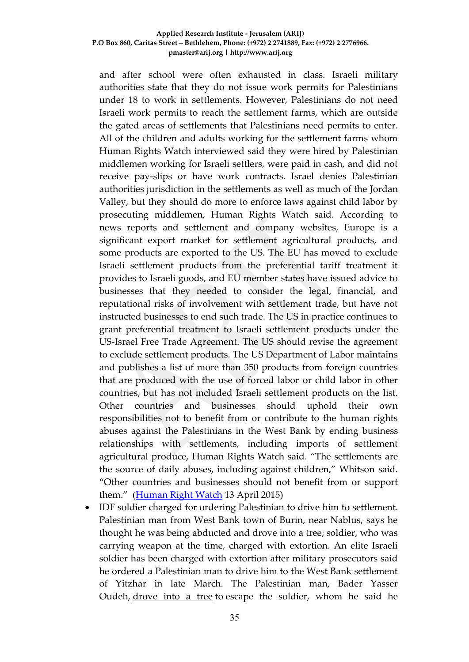and after school were often exhausted in class. Israeli military authorities state that they do not issue work permits for Palestinians under 18 to work in settlements. However, Palestinians do not need Israeli work permits to reach the settlement farms, which are outside the gated areas of settlements that Palestinians need permits to enter. All of the children and adults working for the settlement farms whom Human Rights Watch interviewed said they were hired by Palestinian middlemen working for Israeli settlers, were paid in cash, and did not receive pay-slips or have work contracts. Israel denies Palestinian authorities jurisdiction in the settlements as well as much of the Jordan Valley, but they should do more to enforce laws against child labor by prosecuting middlemen, Human Rights Watch said. According to news reports and settlement and company websites, Europe is a significant export market for settlement agricultural products, and some products are exported to the US. The EU has moved to exclude Israeli settlement products from the preferential tariff treatment it provides to Israeli goods, and EU member states have issued advice to businesses that they needed to consider the legal, financial, and reputational risks of involvement with settlement trade, but have not instructed businesses to end such trade. The US in practice continues to grant preferential treatment to Israeli settlement products under the US-Israel Free Trade Agreement. The US should revise the agreement to exclude settlement products. The US Department of Labor maintains and publishes a list of more than 350 products from foreign countries that are produced with the use of forced labor or child labor in other countries, but has not included Israeli settlement products on the list. Other countries and businesses should uphold their own responsibilities not to benefit from or contribute to the human rights abuses against the Palestinians in the West Bank by ending business relationships with settlements, including imports of settlement agricultural produce, Human Rights Watch said. "The settlements are the source of daily abuses, including against children," Whitson said. "Other countries and businesses should not benefit from or support them." [\(Human Right Watch](http://www.hrw.org/news/2015/04/13/israel-settlement-agriculture-harms-palestinian-children-0) 13 April 2015)

 IDF soldier charged for ordering Palestinian to drive him to settlement. Palestinian man from West Bank town of Burin, near Nablus, says he thought he was being abducted and drove into a tree; soldier, who was carrying weapon at the time, charged with extortion. An elite Israeli soldier has been charged with extortion after military prosecutors said he ordered a Palestinian man to drive him to the West Bank settlement of Yitzhar in late March. The Palestinian man, Bader Yasser Oudeh, [drove into a tree](http://www.haaretz.com/news/diplomacy-defense/.premium-1.649139) to escape the soldier, whom he said he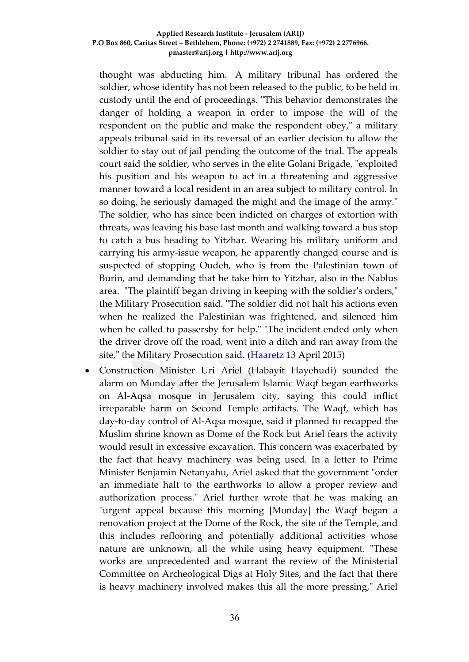thought was abducting him. A military tribunal has ordered the soldier, whose identity has not been released to the public, to be held in custody until the end of proceedings. "This behavior demonstrates the danger of holding a weapon in order to impose the will of the respondent on the public and make the respondent obey," a military appeals tribunal said in its reversal of an earlier decision to allow the soldier to stay out of jail pending the outcome of the trial. The appeals court said the soldier, who serves in the elite Golani Brigade, "exploited his position and his weapon to act in a threatening and aggressive manner toward a local resident in an area subject to military control. In so doing, he seriously damaged the might and the image of the army." The soldier, who has since been indicted on charges of extortion with threats, was leaving his base last month and walking toward a bus stop to catch a bus heading to Yitzhar. Wearing his military uniform and carrying his army-issue weapon, he apparently changed course and is suspected of stopping Oudeh, who is from the Palestinian town of Burin, and demanding that he take him to Yitzhar, also in the Nablus area. "The plaintiff began driving in keeping with the soldier's orders," the Military Prosecution said. "The soldier did not halt his actions even when he realized the Palestinian was frightened, and silenced him when he called to passersby for help." "The incident ended only when the driver drove off the road, went into a ditch and ran away from the site," the Military Prosecution said. [\(Haaretz](http://www.haaretz.com/news/diplomacy-defense/1.651571) 13 April 2015)

 Construction Minister Uri Ariel (Habayit Hayehudi) sounded the alarm on Monday after the Jerusalem Islamic Waqf began earthworks on Al-Aqsa mosque in Jerusalem city, saying this could inflict irreparable harm on Second Temple artifacts. The Waqf, which has day-to-day control of Al-Aqsa mosque, said it planned to recapped the Muslim shrine known as Dome of the Rock but Ariel fears the activity would result in excessive excavation. This concern was exacerbated by the fact that heavy machinery was being used. In a letter to Prime Minister Benjamin Netanyahu, Ariel asked that the government "order an immediate halt to the earthworks to allow a proper review and authorization process." Ariel further wrote that he was making an "urgent appeal because this morning [Monday] the Waqf began a renovation project at the Dome of the Rock, the site of the Temple, and this includes reflooring and potentially additional activities whose nature are unknown, all the while using heavy equipment. "These works are unprecedented and warrant the review of the Ministerial Committee on Archeological Digs at Holy Sites, and the fact that there is heavy machinery involved makes this all the more pressing," Ariel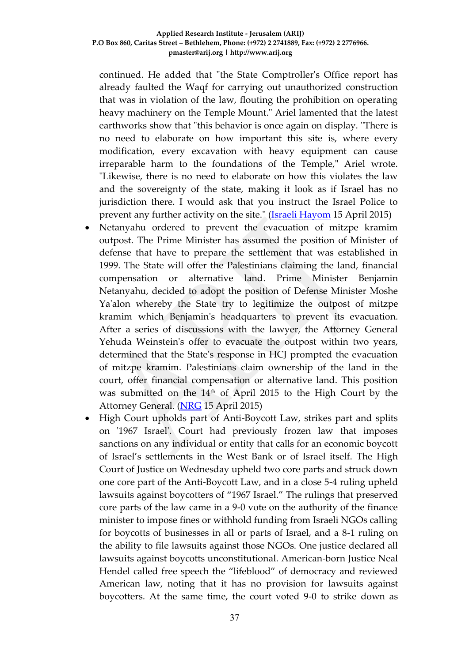continued. He added that "the State Comptroller's Office report has already faulted the Waqf for carrying out unauthorized construction that was in violation of the law, flouting the prohibition on operating heavy machinery on the Temple Mount." Ariel lamented that the latest earthworks show that "this behavior is once again on display. "There is no need to elaborate on how important this site is, where every modification, every excavation with heavy equipment can cause irreparable harm to the foundations of the Temple," Ariel wrote. "Likewise, there is no need to elaborate on how this violates the law and the sovereignty of the state, making it look as if Israel has no jurisdiction there. I would ask that you instruct the Israel Police to prevent any further activity on the site." [\(Israeli Hayom](http://www.israelhayom.com/site/newsletter_article.php?id=24813) 15 April 2015)

- Netanyahu ordered to prevent the evacuation of mitzpe kramim outpost. The Prime Minister has assumed the position of Minister of defense that have to prepare the settlement that was established in 1999. The State will offer the Palestinians claiming the land, financial compensation or alternative land. Prime Minister Benjamin Netanyahu, decided to adopt the position of Defense Minister Moshe Ya'alon whereby the State try to legitimize the outpost of mitzpe kramim which Benjamin's headquarters to prevent its evacuation. After a series of discussions with the lawyer, the Attorney General Yehuda Weinstein's offer to evacuate the outpost within two years, determined that the State's response in HCJ prompted the evacuation of mitzpe kramim. Palestinians claim ownership of the land in the court, offer financial compensation or alternative land. This position was submitted on the 14<sup>th</sup> of April 2015 to the High Court by the Attorney General. [\(NRG](http://www.nrg.co.il/online/1/ART2/689/107.html?hp=1&cat=875) 15 April 2015)
- High Court upholds part of Anti-Boycott Law, strikes part and splits on '1967 Israel'. Court had previously frozen law that imposes sanctions on any individual or entity that calls for an economic boycott of Israel's settlements in the West Bank or of Israel itself. The High Court of Justice on Wednesday upheld two core parts and struck down one core part of the Anti-Boycott Law, and in a close 5-4 ruling upheld lawsuits against boycotters of "1967 Israel." The rulings that preserved core parts of the law came in a 9-0 vote on the authority of the finance minister to impose fines or withhold funding from Israeli NGOs calling for boycotts of businesses in all or parts of Israel, and a 8-1 ruling on the ability to file lawsuits against those NGOs. One justice declared all lawsuits against boycotts unconstitutional. American-born Justice Neal Hendel called free speech the "lifeblood" of democracy and reviewed American law, noting that it has no provision for lawsuits against boycotters. At the same time, the court voted 9-0 to strike down as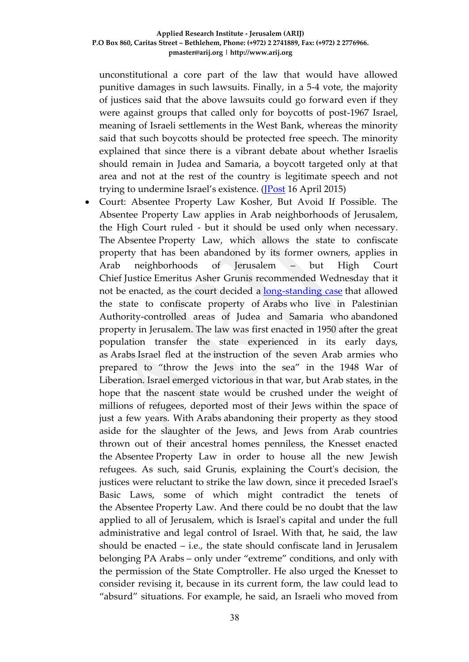unconstitutional a core part of the law that would have allowed punitive damages in such lawsuits. Finally, in a 5-4 vote, the majority of justices said that the above lawsuits could go forward even if they were against groups that called only for boycotts of post-1967 Israel, meaning of Israeli settlements in the West Bank, whereas the minority said that such boycotts should be protected free speech. The minority explained that since there is a vibrant debate about whether Israelis should remain in Judea and Samaria, a boycott targeted only at that area and not at the rest of the country is legitimate speech and not trying to undermine Israel's existence. [\(JPost](http://www.jpost.com/Israel-News/Politics-And-Diplomacy/High-Court-rules-on-boycott-law-398206) 16 April 2015)

 Court: Absentee Property Law Kosher, But Avoid If Possible. The Absentee Property Law applies in Arab neighborhoods of Jerusalem, the High Court ruled - but it should be used only when necessary. The Absentee Property Law, which allows the state to confiscate property that has been abandoned by its former owners, applies in Arab neighborhoods of Jerusalem – but High Court Chief Justice Emeritus Asher Grunis recommended Wednesday that it not be enacted, as the court decided a [long-standing case](http://www.israelnationalnews.com/News/News.aspx/76126) that allowed the state to confiscate property of Arabs who live in Palestinian Authority-controlled areas of Judea and Samaria who abandoned property in Jerusalem. The law was first enacted in 1950 after the great population transfer the state experienced in its early days, as Arabs Israel fled at the instruction of the seven Arab armies who prepared to "throw the Jews into the sea" in the 1948 War of Liberation. Israel emerged victorious in that war, but Arab states, in the hope that the nascent state would be crushed under the weight of millions of refugees, deported most of their Jews within the space of just a few years. With Arabs abandoning their property as they stood aside for the slaughter of the Jews, and Jews from Arab countries thrown out of their ancestral homes penniless, the Knesset enacted the Absentee Property Law in order to house all the new Jewish refugees. As such, said Grunis, explaining the Court's decision, the justices were reluctant to strike the law down, since it preceded Israel's Basic Laws, some of which might contradict the tenets of the Absentee Property Law. And there could be no doubt that the law applied to all of Jerusalem, which is Israel's capital and under the full administrative and legal control of Israel. With that, he said, the law should be enacted – i.e., the state should confiscate land in Jerusalem belonging PA Arabs – only under "extreme" conditions, and only with the permission of the State Comptroller. He also urged the Knesset to consider revising it, because in its current form, the law could lead to "absurd" situations. For example, he said, an Israeli who moved from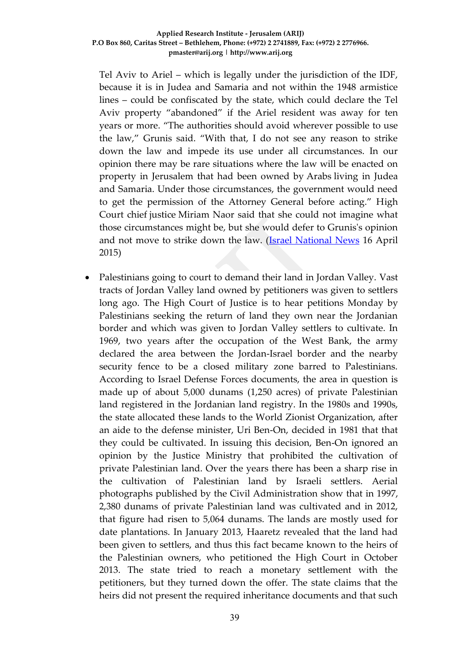Tel Aviv to Ariel – which is legally under the jurisdiction of the IDF, because it is in Judea and Samaria and not within the 1948 armistice lines – could be confiscated by the state, which could declare the Tel Aviv property "abandoned" if the Ariel resident was away for ten years or more. "The authorities should avoid wherever possible to use the law," Grunis said. "With that, I do not see any reason to strike down the law and impede its use under all circumstances. In our opinion there may be rare situations where the law will be enacted on property in Jerusalem that had been owned by Arabs living in Judea and Samaria. Under those circumstances, the government would need to get the permission of the Attorney General before acting." High Court chief justice Miriam Naor said that she could not imagine what those circumstances might be, but she would defer to Grunis's opinion and not move to strike down the law. (**Israel National News** 16 April 2015)

• Palestinians going to court to demand their land in Jordan Valley. Vast tracts of Jordan Valley land owned by petitioners was given to settlers long ago. The High Court of Justice is to hear petitions Monday by Palestinians seeking the return of land they own near the Jordanian border and which was given to Jordan Valley settlers to cultivate. In 1969, two years after the occupation of the West Bank, the army declared the area between the Jordan-Israel border and the nearby security fence to be a closed military zone barred to Palestinians. According to Israel Defense Forces documents, the area in question is made up of about 5,000 dunams (1,250 acres) of private Palestinian land registered in the Jordanian land registry. In the 1980s and 1990s, the state allocated these lands to the World Zionist Organization, after an aide to the defense minister, Uri Ben-On, decided in 1981 that that they could be cultivated. In issuing this decision, Ben-On ignored an opinion by the Justice Ministry that prohibited the cultivation of private Palestinian land. Over the years there has been a sharp rise in the cultivation of Palestinian land by Israeli settlers. Aerial photographs published by the Civil Administration show that in 1997, 2,380 dunams of private Palestinian land was cultivated and in 2012, that figure had risen to 5,064 dunams. The lands are mostly used for date plantations. In January 2013, Haaretz revealed that the land had been given to settlers, and thus this fact became known to the heirs of the Palestinian owners, who petitioned the High Court in October 2013. The state tried to reach a monetary settlement with the petitioners, but they turned down the offer. The state claims that the heirs did not present the required inheritance documents and that such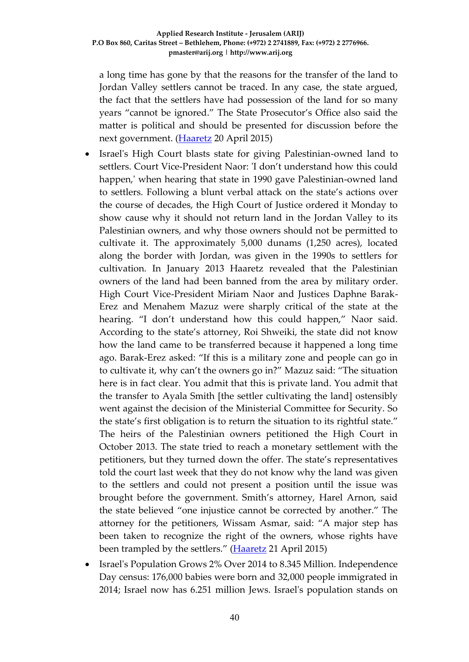a long time has gone by that the reasons for the transfer of the land to Jordan Valley settlers cannot be traced. In any case, the state argued, the fact that the settlers have had possession of the land for so many years "cannot be ignored." The State Prosecutor's Office also said the matter is political and should be presented for discussion before the next government. [\(Haaretz](http://www.haaretz.com/news/diplomacy-defense/.premium-1.652588) 20 April 2015)

- Israel's High Court blasts state for giving Palestinian-owned land to settlers. Court Vice-President Naor: 'I don't understand how this could happen,' when hearing that state in 1990 gave Palestinian-owned land to settlers. Following a blunt verbal attack on the state's actions over the course of decades, the High Court of Justice ordered it Monday to show cause why it should not return land in the Jordan Valley to its Palestinian owners, and why those owners should not be permitted to cultivate it. The approximately 5,000 dunams (1,250 acres), located along the border with Jordan, was given in the 1990s to settlers for cultivation. In January 2013 Haaretz revealed that the Palestinian owners of the land had been banned from the area by military order. High Court Vice-President Miriam Naor and Justices Daphne Barak-Erez and Menahem Mazuz were sharply critical of the state at the hearing. "I don't understand how this could happen," Naor said. According to the state's attorney, Roi Shweiki, the state did not know how the land came to be transferred because it happened a long time ago. Barak-Erez asked: "If this is a military zone and people can go in to cultivate it, why can't the owners go in?" Mazuz said: "The situation here is in fact clear. You admit that this is private land. You admit that the transfer to Ayala Smith [the settler cultivating the land] ostensibly went against the decision of the Ministerial Committee for Security. So the state's first obligation is to return the situation to its rightful state." The heirs of the Palestinian owners petitioned the High Court in October 2013. The state tried to reach a monetary settlement with the petitioners, but they turned down the offer. The state's representatives told the court last week that they do not know why the land was given to the settlers and could not present a position until the issue was brought before the government. Smith's attorney, Harel Arnon, said the state believed "one injustice cannot be corrected by another." The attorney for the petitioners, Wissam Asmar, said: "A major step has been taken to recognize the right of the owners, whose rights have been trampled by the settlers." [\(Haaretz](http://www.haaretz.com/news/diplomacy-defense/.premium-1.652778) 21 April 2015)
- Israel's Population Grows 2% Over 2014 to 8.345 Million. Independence Day census: 176,000 babies were born and 32,000 people immigrated in 2014; Israel now has 6.251 million Jews. Israel's population stands on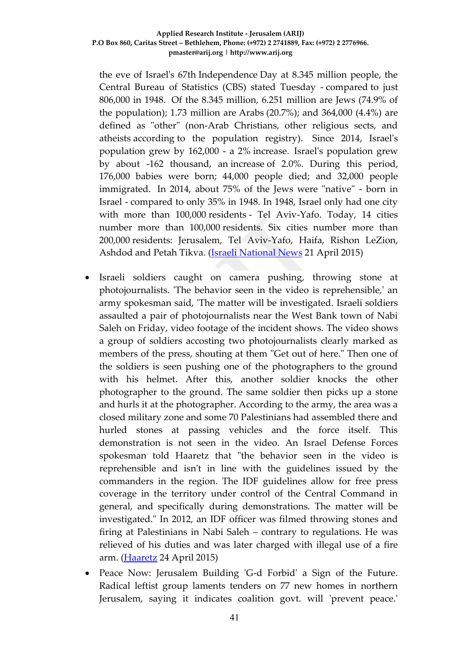the eve of Israel's 67th Independence Day at 8.345 million people, the Central Bureau of Statistics (CBS) stated Tuesday - compared to just 806,000 in 1948. Of the 8.345 million, 6.251 million are Jews (74.9% of the population); 1.73 million are Arabs (20.7%); and 364,000 (4.4%) are defined as "other" (non-Arab Christians, other religious sects, and atheists according to the population registry). Since 2014, Israel's population grew by 162,000 - a 2% increase. Israel's population grew by about -162 thousand, an increase of 2.0%. During this period, 176,000 babies were born; 44,000 people died; and 32,000 people immigrated. In 2014, about 75% of the Jews were "native" - born in Israel - compared to only 35% in 1948. In 1948, Israel only had one city with more than 100,000 residents - Tel Aviv-Yafo. Today, 14 cities number more than 100,000 residents. Six cities number more than 200,000 residents: Jerusalem, Tel Aviv-Yafo, Haifa, Rishon LeZion, Ashdod and Petah Tikva. [\(Israeli National News](http://www.israelnationalnews.com/News/News.aspx/194360#.VTY2iyGqqko) 21 April 2015)

- Israeli soldiers caught on camera pushing, throwing stone at photojournalists. 'The behavior seen in the video is reprehensible,' an army spokesman said, 'The matter will be investigated. Israeli soldiers assaulted a pair of photojournalists near the West Bank town of Nabi Saleh on Friday, video footage of the incident shows. The video shows a group of soldiers accosting two photojournalists clearly marked as members of the press, shouting at them "Get out of here." Then one of the soldiers is seen pushing one of the photographers to the ground with his helmet. After this, another soldier knocks the other photographer to the ground. The same soldier then picks up a stone and hurls it at the photographer. According to the army, the area was a closed military zone and some 70 Palestinians had assembled there and hurled stones at passing vehicles and the force itself. This demonstration is not seen in the video. An Israel Defense Forces spokesman told Haaretz that "the behavior seen in the video is reprehensible and isn't in line with the guidelines issued by the commanders in the region. The IDF guidelines allow for free press coverage in the territory under control of the Central Command in general, and specifically during demonstrations. The matter will be investigated." In 2012, an IDF officer was filmed throwing stones and firing at Palestinians in Nabi Saleh – contrary to regulations. He was relieved of his duties and was later charged with illegal use of a fire arm. [\(Haaretz](http://www.haaretz.com/news/diplomacy-defense/1.653430) 24 April 2015)
- Peace Now: Jerusalem Building 'G-d Forbid' a Sign of the Future. Radical leftist group laments tenders on 77 new homes in northern Jerusalem, saying it indicates coalition govt. will 'prevent peace.'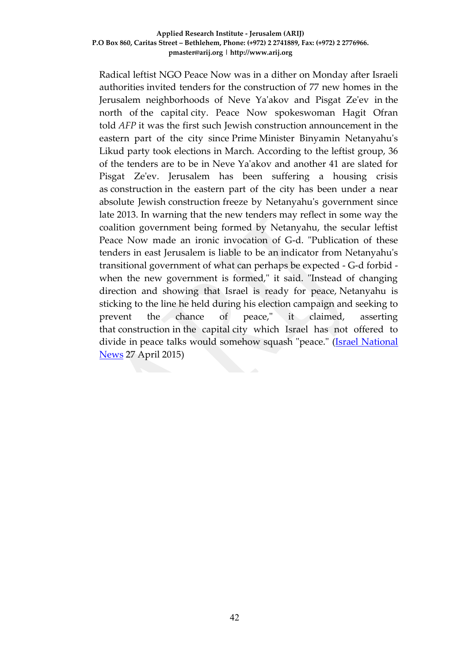Radical leftist NGO Peace Now was in a dither on Monday after Israeli authorities invited tenders for the construction of 77 new homes in the Jerusalem neighborhoods of Neve Ya'akov and Pisgat Ze'ev in the north of the capital city. Peace Now spokeswoman Hagit Ofran told *AFP* it was the first such Jewish construction announcement in the eastern part of the city since Prime Minister Binyamin Netanyahu's Likud party took elections in March. According to the leftist group, 36 of the tenders are to be in Neve Ya'akov and another 41 are slated for Pisgat Ze'ev. Jerusalem has been suffering a housing crisis as construction in the eastern part of the city has been under a near absolute Jewish construction freeze by Netanyahu's government since late 2013. In warning that the new tenders may reflect in some way the coalition government being formed by Netanyahu, the secular leftist Peace Now made an ironic invocation of G-d. "Publication of these tenders in east Jerusalem is liable to be an indicator from Netanyahu's transitional government of what can perhaps be expected - G-d forbid when the new government is formed," it said. "Instead of changing direction and showing that Israel is ready for peace, Netanyahu is sticking to the line he held during his election campaign and seeking to prevent the chance of peace," it claimed, asserting that construction in the capital city which Israel has not offered to divide in peace talks would somehow squash "peace." (Israel National [News](http://www.israelnationalnews.com/News/News.aspx/194622#.VT4TuyGqqko) 27 April 2015)